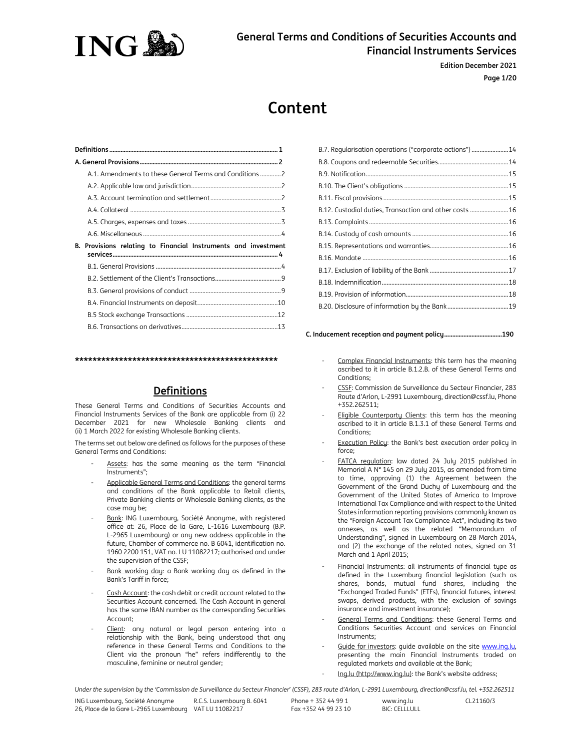

**Edition December 2021 Page 1/20**

# **Content**

**\*\*\*\*\*\*\*\*\*\*\*\*\*\*\*\*\*\*\*\*\*\*\*\*\*\*\*\*\*\*\*\*\*\*\*\*\*\*\*\*\*\*\*\*\*\*** 

# **Definitions**

These General Terms and Conditions of Securities Accounts and Financial Instruments Services of the Bank are applicable from (i) 22 December 2021 for new Wholesale Banking clients and (ii) 1 March 2022 for existing Wholesale Banking clients.

The terms set out below are defined as follows for the purposes of these General Terms and Conditions:

- Assets: has the same meaning as the term "Financial Instruments";
- Applicable General Terms and Conditions: the general terms and conditions of the Bank applicable to Retail clients, Private Banking clients or Wholesale Banking clients, as the case may be;
- Bank: ING Luxembourg, Société Anonyme, with registered office at: 26, Place de la Gare, L-1616 Luxembourg (B.P. L-2965 Luxembourg) or any new address applicable in the future, Chamber of commerce no. B 6041, identification no. 1960 2200 151, VAT no. LU 11082217; authorised and under the supervision of the CSSF;
- Bank working day: a Bank working day as defined in the Bank's Tariff in force;
- Cash Account: the cash debit or credit account related to the Securities Account concerned. The Cash Account in general has the same IBAN number as the corresponding Securities Account;
- Client: any natural or legal person entering into a relationship with the Bank, being understood that any reference in these General Terms and Conditions to the Client via the pronoun "he" refers indifferently to the masculine, feminine or neutral gender;

| B.7. Regularisation operations ("corporate actions") 14 |
|---------------------------------------------------------|
|                                                         |
|                                                         |
|                                                         |
|                                                         |
| B.12. Custodial duties, Transaction and other costs 16  |
|                                                         |
|                                                         |
|                                                         |
|                                                         |
|                                                         |
|                                                         |
|                                                         |
|                                                         |
|                                                         |

#### **C. Inducement reception and payment policy ....................................190**

- Complex Financial Instruments: this term has the meaning ascribed to it in article B.1.2.B. of these General Terms and Conditions;
- CSSF: Commission de Surveillance du Secteur Financier, 283 Route d'Arlon, L-2991 Luxembourg, direction@cssf.lu, Phone +352.262511;
- Eligible Counterparty Clients: this term has the meaning ascribed to it in article B.1.3.1 of these General Terms and Conditions;
- Execution Policy: the Bank's best execution order policy in force;
- FATCA regulation: law dated 24 July 2015 published in Memorial A N° 145 on 29 July 2015, as amended from time to time, approving (1) the Agreement between the Government of the Grand Duchy of Luxembourg and the Government of the United States of America to Improve International Tax Compliance and with respect to the United States information reporting provisions commonly known as the "Foreign Account Tax Compliance Act", including its two annexes, as well as the related "Memorandum of Understanding", signed in Luxembourg on 28 March 2014, and (2) the exchange of the related notes, signed on 31 March and 1 April 2015;
- Financial Instruments: all instruments of financial type as defined in the Luxemburg financial legislation (such as shares, bonds, mutual fund shares, including the "Exchanged Traded Funds" (ETFs), financial futures, interest swaps, derived products, with the exclusion of savings insurance and investment insurance);
- General Terms and Conditions: these General Terms and Conditions Securities Account and services on Financial Instruments;
- Guide for investors: quide available on the site www.ing.lu, presenting the main Financial Instruments traded on regulated markets and available at the Bank;
- Ing.lu (http://www.ing.lu): the Bank's website address;

*Under the supervision by the 'Commission de Surveillance du Secteur Financier' (CSSF), 283 route d'Arlon, L-2991 Luxembourg, direction@cssf.lu, tel. +352.262511*

Phone + 352 44 99 1 Fax +352 44 99 23 10

www.ing.lu **BIC: CELLLULL** CL21160/3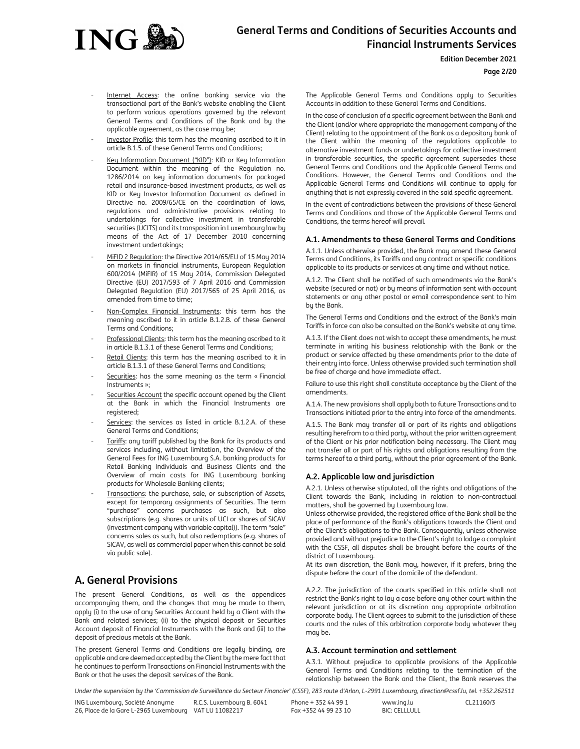

# **Edition December 2021**

# **Page 2/20**

- Internet Access: the online banking service via the transactional part of the Bank's website enabling the Client to perform various operations governed by the relevant General Terms and Conditions of the Bank and by the applicable agreement, as the case may be;
- Investor Profile: this term has the meaning ascribed to it in article B.1.5. of these General Terms and Conditions;
- Key Information Document ("KID"): KID or Key Information Document within the meaning of the Regulation no. 1286/2014 on key information documents for packaged retail and insurance-based investment products, as well as KID or Key Investor Information Document as defined in Directive no. 2009/65/CE on the coordination of laws, regulations and administrative provisions relating to undertakings for collective investment in transferable securities (UCITS) and its transposition in Luxembourg law by means of the Act of 17 December 2010 concerning investment undertakings;
- MiFID 2 Regulation: the Directive 2014/65/EU of 15 May 2014 on markets in financial instruments, European Regulation 600/2014 (MiFIR) of 15 May 2014, Commission Delegated Directive (EU) 2017/593 of 7 April 2016 and Commission Delegated Regulation (EU) 2017/565 of 25 April 2016, as amended from time to time;
- Non-Complex Financial Instruments: this term has the meaning ascribed to it in article B.1.2.B. of these General Terms and Conditions;
- Professional Clients: this term has the meaning ascribed to it in article B.1.3.1 of these General Terms and Conditions;
- Retail Clients: this term has the meaning ascribed to it in article B.1.3.1 of these General Terms and Conditions;
- Securities: has the same meaning as the term « Financial Instruments »;
- Securities Account the specific account opened by the Client at the Bank in which the Financial Instruments are registered;
- Services: the services as listed in article B.1.2.A. of these General Terms and Conditions;
- Tariffs: any tariff published by the Bank for its products and services including, without limitation, the Overview of the General Fees for ING Luxembourg S.A. banking products for Retail Banking Individuals and Business Clients and the Overview of main costs for ING Luxembourg banking products for Wholesale Banking clients;
- Transactions: the purchase, sale, or subscription of Assets, except for temporary assignments of Securities. The term "purchase" concerns purchases as such, but also subscriptions (e.g. shares or units of UCI or shares of SICAV (investment company with variable capital)). The term "sale" concerns sales as such, but also redemptions (e.g. shares of SICAV, as well as commercial paper when this cannot be sold via public sale).

# **A. General Provisions**

The present General Conditions, as well as the appendices accompanying them, and the changes that may be made to them, apply (i) to the use of any Securities Account held by a Client with the Bank and related services; (ii) to the physical deposit or Securities Account deposit of Financial Instruments with the Bank and (iii) to the deposit of precious metals at the Bank.

The present General Terms and Conditions are legally binding, are applicable and are deemed accepted by the Client by the mere fact that he continues to perform Transactions on Financial Instruments with the Bank or that he uses the deposit services of the Bank.

The Applicable General Terms and Conditions apply to Securities Accounts in addition to these General Terms and Conditions.

In the case of conclusion of a specific agreement between the Bank and the Client (and/or where appropriate the management company of the Client) relating to the appointment of the Bank as a depositary bank of the Client within the meaning of the regulations applicable to alternative investment funds or undertakings for collective investment in transferable securities, the specific agreement supersedes these General Terms and Conditions and the Applicable General Terms and Conditions. However, the General Terms and Conditions and the Applicable General Terms and Conditions will continue to apply for anything that is not expressly covered in the said specific agreement.

In the event of contradictions between the provisions of these General Terms and Conditions and those of the Applicable General Terms and Conditions, the terms hereof will prevail.

# **A.1. Amendments to these General Terms and Conditions**

A.1.1. Unless otherwise provided, the Bank may amend these General Terms and Conditions, its Tariffs and any contract or specific conditions applicable to its products or services at any time and without notice.

A.1.2. The Client shall be notified of such amendments via the Bank's website (secured or not) or by means of information sent with account statements or any other postal or email correspondence sent to him by the Bank.

The General Terms and Conditions and the extract of the Bank's main Tariffs in force can also be consulted on the Bank's website at any time.

A.1.3. If the Client does not wish to accept these amendments, he must terminate in writing his business relationship with the Bank or the product or service affected by these amendments prior to the date of their entry into force. Unless otherwise provided such termination shall be free of charge and have immediate effect.

Failure to use this right shall constitute acceptance by the Client of the amendments.

A.1.4. The new provisions shall apply both to future Transactions and to Transactions initiated prior to the entry into force of the amendments.

A.1.5. The Bank may transfer all or part of its rights and obligations resulting herefrom to a third party, without the prior written agreement of the Client or his prior notification being necessary. The Client may not transfer all or part of his rights and obligations resulting from the terms hereof to a third party, without the prior agreement of the Bank.

# **A.2. Applicable law and jurisdiction**

A.2.1. Unless otherwise stipulated, all the rights and obligations of the Client towards the Bank, including in relation to non-contractual matters, shall be governed by Luxembourg law.

Unless otherwise provided, the registered office of the Bank shall be the place of performance of the Bank's obligations towards the Client and of the Client's obligations to the Bank. Consequently, unless otherwise provided and without prejudice to the Client's right to lodge a complaint with the CSSF, all disputes shall be brought before the courts of the district of Luxembourg.

At its own discretion, the Bank may, however, if it prefers, bring the dispute before the court of the domicile of the defendant.

A.2.2. The jurisdiction of the courts specified in this article shall not restrict the Bank's right to lay a case before any other court within the relevant jurisdiction or at its discretion any appropriate arbitration corporate body. The Client agrees to submit to the jurisdiction of these courts and the rules of this arbitration corporate body whatever they mau be.

# **A.3. Account termination and settlement**

A.3.1. Without prejudice to applicable provisions of the Applicable General Terms and Conditions relating to the termination of the relationship between the Bank and the Client, the Bank reserves the

*Under the supervision by the 'Commission de Surveillance du Secteur Financier' (CSSF), 283 route d'Arlon, L-2991 Luxembourg, direction@cssf.lu, tel. +352.262511*

ING Luxembourg, Société Anonyme 26, Place de la Gare L-2965 Luxembourg VAT LU 11082217 R.C.S. Luxembourg B. 6041

Phone + 352 44 99 1 Fax +352 44 99 23 10

www.ing.lu  $BIC: CFI$  $I$  $I$  $I$  $II$  $I$  $I$ CL21160/3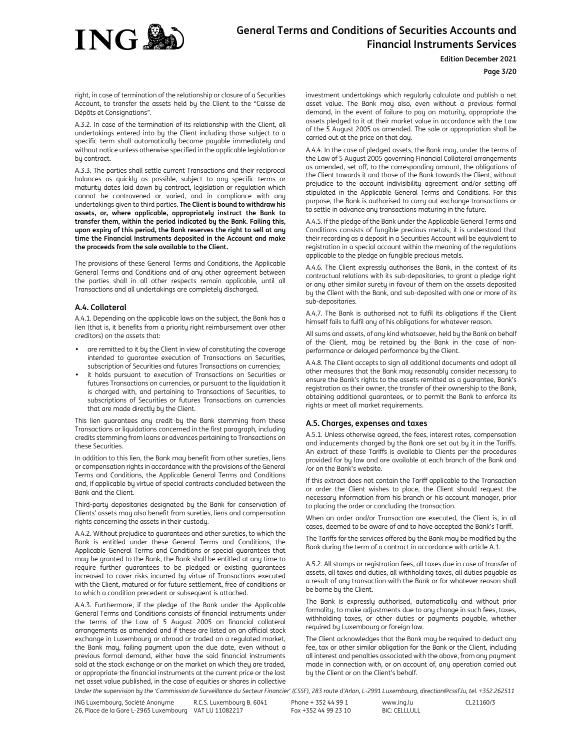

# **Edition December 2021**

#### **Page 3/20**

right, in case of termination of the relationship or closure of a Securities Account, to transfer the assets held by the Client to the "Caisse de Dépôts et Consignations".

A.3.2. In case of the termination of its relationship with the Client, all undertakings entered into by the Client including those subject to a specific term shall automatically become payable immediately and without notice unless otherwise specified in the applicable legislation or by contract.

A.3.3. The parties shall settle current Transactions and their reciprocal balances as quickly as possible, subject to any specific terms or maturity dates laid down by contract, legislation or regulation which cannot be contravened or varied, and in compliance with any undertakings given to third parties. **The Client is bound to withdraw his assets, or, where applicable, appropriately instruct the Bank to transfer them, within the period indicated by the Bank. Failing this, upon expiry of this period, the Bank reserves the right to sell at any time the Financial Instruments deposited in the Account and make the proceeds from the sale available to the Client.**

The provisions of these General Terms and Conditions, the Applicable General Terms and Conditions and of any other agreement between the parties shall in all other respects remain applicable, until all Transactions and all undertakings are completely discharged.

# **A.4. Collateral**

A.4.1. Depending on the applicable laws on the subject, the Bank has a lien (that is, it benefits from a priority right reimbursement over other creditors) on the assets that:

- are remitted to it by the Client in view of constituting the coverage intended to guarantee execution of Transactions on Securities, subscription of Securities and futures Transactions on currencies;
- it holds pursuant to execution of Transactions on Securities or futures Transactions on currencies, or pursuant to the liquidation it is charged with, and pertaining to Transactions of Securities, to subscriptions of Securities or futures Transactions on currencies that are made directly by the Client.

This lien guarantees any credit by the Bank stemming from these Transactions or liquidations concerned in the first paragraph, including credits stemming from loans or advances pertaining to Transactions on these Securities.

In addition to this lien, the Bank may benefit from other sureties, liens or compensation rights in accordance with the provisions of the General Terms and Conditions, the Applicable General Terms and Conditions and, if applicable by virtue of special contracts concluded between the Bank and the Client.

Third-party depositaries designated by the Bank for conservation of Clients' assets may also benefit from sureties, liens and compensation rights concerning the assets in their custody.

A.4.2. Without prejudice to guarantees and other sureties, to which the Bank is entitled under these General Terms and Conditions, the Applicable General Terms and Conditions or special guarantees that may be granted to the Bank, the Bank shall be entitled at any time to require further guarantees to be pledged or existing guarantees increased to cover risks incurred by virtue of Transactions executed with the Client, matured or for future settlement, free of conditions or to which a condition precedent or subsequent is attached.

A.4.3. Furthermore, if the pledge of the Bank under the Applicable General Terms and Conditions consists of financial instruments under the terms of the Law of 5 August 2005 on financial collateral arrangements as amended and if these are listed on an official stock exchange in Luxembourg or abroad or traded on a regulated market, the Bank may, failing payment upon the due date, even without a previous formal demand, either have the said financial instruments sold at the stock exchange or on the market on which they are traded, or appropriate the financial instruments at the current price or the last net asset value published, in the case of equities or shares in collective investment undertakings which regularly calculate and publish a net asset value. The Bank may also, even without a previous formal demand, in the event of failure to pay on maturity, appropriate the assets pledged to it at their market value in accordance with the Law of the 5 August 2005 as amended. The sale or appropriation shall be carried out at the price on that day.

A.4.4. In the case of pledged assets, the Bank may, under the terms of the Law of 5 August 2005 governing Financial Collateral arrangements as amended, set off, to the corresponding amount, the obligations of the Client towards it and those of the Bank towards the Client, without prejudice to the account indivisibility agreement and/or setting off stipulated in the Applicable General Terms and Conditions. For this purpose, the Bank is authorised to carry out exchange transactions or to settle in advance any transactions maturing in the future.

A.4.5. If the pledge of the Bank under the Applicable General Terms and Conditions consists of fungible precious metals, it is understood that their recording as a deposit in a Securities Account will be equivalent to registration in a special account within the meaning of the regulations applicable to the pledge on fungible precious metals.

A.4.6. The Client expressly authorises the Bank, in the context of its contractual relations with its sub-depositaries, to grant a pledge right or any other similar surety in favour of them on the assets deposited by the Client with the Bank, and sub-deposited with one or more of its sub-depositaries.

A.4.7. The Bank is authorised not to fulfil its obligations if the Client himself fails to fulfil any of his obligations for whatever reason.

All sums and assets, of any kind whatsoever, held by the Bank on behalf of the Client, may be retained by the Bank in the case of nonperformance or delayed performance by the Client.

A.4.8. The Client accepts to sign all additional documents and adopt all other measures that the Bank may reasonably consider necessary to ensure the Bank's rights to the assets remitted as a guarantee, Bank's registration as their owner, the transfer of their ownership to the Bank, obtaining additional guarantees, or to permit the Bank to enforce its rights or meet all market requirements.

### **A.5. Charges, expenses and taxes**

A.5.1. Unless otherwise agreed, the fees, interest rates, compensation and inducements charged by the Bank are set out by it in the Tariffs. An extract of these Tariffs is available to Clients per the procedures provided for by law and are available at each branch of the Bank and /or on the Bank's website.

If this extract does not contain the Tariff applicable to the Transaction or order the Client wishes to place, the Client should request the necessary information from his branch or his account manager, prior to placing the order or concluding the transaction.

When an order and/or Transaction are executed, the Client is, in all cases, deemed to be aware of and to have accepted the Bank's Tariff.

The Tariffs for the services offered by the Bank may be modified by the Bank during the term of a contract in accordance with article A.1.

A.5.2. All stamps or registration fees, all taxes due in case of transfer of assets, all taxes and duties, all withholding taxes, all duties payable as a result of any transaction with the Bank or for whatever reason shall be borne by the Client.

The Bank is expressly authorised, automatically and without prior formality, to make adjustments due to any change in such fees, taxes, withholding taxes, or other duties or payments payable, whether required by Luxembourg or foreign law.

The Client acknowledges that the Bank may be required to deduct any fee, tax or other similar obligation for the Bank or the Client, including all interest and penalties associated with the above, from any payment made in connection with, or on account of, any operation carried out by the Client or on the Client's behalf.

*Under the supervision by the 'Commission de Surveillance du Secteur Financier' (CSSF), 283 route d'Arlon, L-2991 Luxembourg, direction@cssf.lu, tel. +352.262511*

ING Luxembourg, Société Anonyme 26, Place de la Gare L-2965 Luxembourg VAT LU 11082217 R.C.S. Luxembourg B. 6041

Phone + 352 44 99 1 Fax +352 44 99 23 10 www.ing.lu  $BIC: CFI$  $I$  $I$  $I$  $II$  $I$  $I$ CL21160/3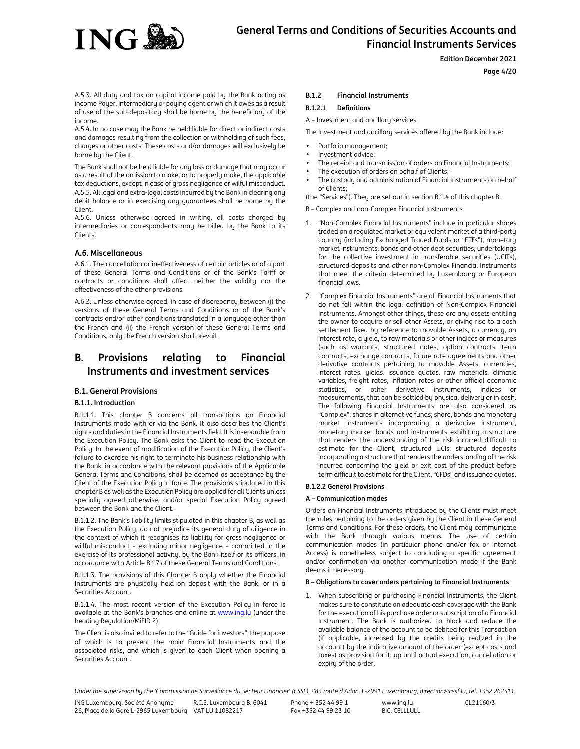

# **Page 4/20**

A.5.3. All duty and tax on capital income paid by the Bank acting as income Payer, intermediary or paying agent or which it owes as a result of use of the sub-depositary shall be borne by the beneficiary of the income.

A.5.4. In no case may the Bank be held liable for direct or indirect costs and damages resulting from the collection or withholding of such fees, charges or other costs. These costs and/or damages will exclusively be borne by the Client.

The Bank shall not be held liable for any loss or damage that may occur as a result of the omission to make, or to properly make, the applicable tax deductions, except in case of gross negligence or wilful misconduct. A.5.5. All legal and extra-legal costs incurred by the Bank in clearing any debit balance or in exercising any guarantees shall be borne by the Client.

A.5.6. Unless otherwise agreed in writing, all costs charged by intermediaries or correspondents may be billed by the Bank to its Clients.

# **A.6. Miscellaneous**

A.6.1. The cancellation or ineffectiveness of certain articles or of a part of these General Terms and Conditions or of the Bank's Tariff or contracts or conditions shall affect neither the validity nor the effectiveness of the other provisions.

A.6.2. Unless otherwise agreed, in case of discrepancy between (i) the versions of these General Terms and Conditions or of the Bank's contracts and/or other conditions translated in a language other than the French and (ii) the French version of these General Terms and Conditions, only the French version shall prevail.

# **B. Provisions relating to Financial Instruments and investment services**

### **B.1. General Provisions**

### **B.1.1. Introduction**

B.1.1.1. This chapter B concerns all transactions on Financial Instruments made with or via the Bank. It also describes the Client's rights and duties in the Financial Instruments field. It is inseparable from the Execution Policy. The Bank asks the Client to read the Execution Policy. In the event of modification of the Execution Policy, the Client's failure to exercise his right to terminate his business relationship with the Bank, in accordance with the relevant provisions of the Applicable General Terms and Conditions, shall be deemed as acceptance by the Client of the Execution Policy in force. The provisions stipulated in this chapter B as well as the Execution Policy are applied for all Clients unless specially agreed otherwise, and/or special Execution Policy agreed between the Bank and the Client.

B.1.1.2. The Bank's liability limits stipulated in this chapter B, as well as the Execution Policy, do not prejudice its general duty of diligence in the context of which it recognises its liability for gross negligence or willful misconduct – excluding minor negligence – committed in the exercise of its professional activity, by the Bank itself or its officers, in accordance with Article B.17 of these General Terms and Conditions.

B.1.1.3. The provisions of this Chapter B apply whether the Financial Instruments are physically held on deposit with the Bank, or in a Securities Account.

B.1.1.4. The most recent version of the Execution Policy in force is available at the Bank's branches and online at www.ing.lu (under the heading Regulation/MiFID 2).

The Client is also invited to refer to the "Guide for investors", the purpose of which is to present the main Financial Instruments and the associated risks, and which is given to each Client when opening a Securities Account.

### **B.1.2 Financial Instruments**

# **B.1.2.1 Definitions**

A – Investment and ancillary services

The Investment and ancillary services offered by the Bank include:

- Portfolio management;
- Investment advice;
- The receipt and transmission of orders on Financial Instruments;
- The execution of orders on behalf of Clients;
- The custody and administration of Financial Instruments on behalf of Clients;

(the "Services"). They are set out in section B.1.4 of this chapter B.

- B Complex and non-Complex Financial Instruments
- 1. "Non-Complex Financial Instruments" include in particular shares traded on a regulated market or equivalent market of a third-party country (including Exchanged Traded Funds or "ETFs"), monetary market instruments, bonds and other debt securities, undertakings for the collective investment in transferable securities (UCITs), structured deposits and other non-Complex Financial Instruments that meet the criteria determined by Luxembourg or European financial laws.
- 2. "Complex Financial Instruments" are all Financial Instruments that do not fall within the legal definition of Non-Complex Financial Instruments. Amongst other things, these are any assets entitling the owner to acquire or sell other Assets, or giving rise to a cash settlement fixed by reference to movable Assets, a currency, an interest rate, a yield, to raw materials or other indices or measures (such as warrants, structured notes, option contracts, term contracts, exchange contracts, future rate agreements and other derivative contracts pertaining to movable Assets, currencies, interest rates, yields, issuance quotas, raw materials, climatic variables, freight rates, inflation rates or other official economic statistics, or other derivative instruments, indices or measurements, that can be settled by physical delivery or in cash. The following Financial Instruments are also considered as "Complex": shares in alternative funds; share, bonds and monetary market instruments incorporating a derivative instrument, monetary market bonds and instruments exhibiting a structure that renders the understanding of the risk incurred difficult to estimate for the Client, structured UCIs; structured deposits incorporating a structure that renders the understanding of the risk incurred concerning the yield or exit cost of the product before term difficult to estimate for the Client, "CFDs" and issuance quotas.

### **B.1.2.2 General Provisions**

#### **A – Communication modes**

Orders on Financial Instruments introduced by the Clients must meet the rules pertaining to the orders given by the Client in these General Terms and Conditions. For these orders, the Client may communicate with the Bank through various means. The use of certain communication modes (in particular phone and/or fax or Internet Access) is nonetheless subject to concluding a specific agreement and/or confirmation via another communication mode if the Bank deems it necessary.

# **B – Obligations to cover orders pertaining to Financial Instruments**

1. When subscribing or purchasing Financial Instruments, the Client makes sure to constitute an adequate cash coverage with the Bank for the execution of his purchase order or subscription of a Financial Instrument. The Bank is authorized to block and reduce the available balance of the account to be debited for this Transaction (if applicable, increased by the credits being realized in the account) by the indicative amount of the order (except costs and taxes) as provision for it, up until actual execution, cancellation or expiry of the order.

*Under the supervision by the 'Commission de Surveillance du Secteur Financier' (CSSF), 283 route d'Arlon, L-2991 Luxembourg, direction@cssf.lu, tel. +352.262511*

Phone + 352 44 99 1 Fax +352 44 99 23 10

www.ing.lu BIC: CELLLULL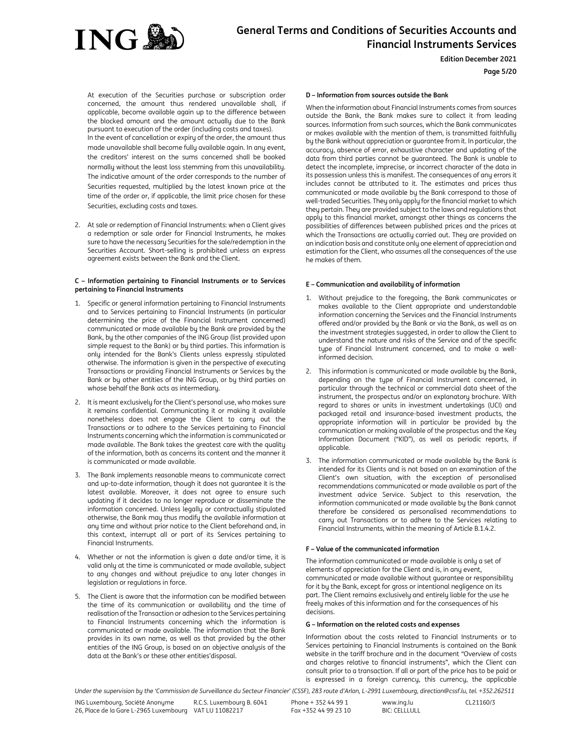

# **Page 5/20**

At execution of the Securities purchase or subscription order concerned, the amount thus rendered unavailable shall, if applicable, become available again up to the difference between the blocked amount and the amount actually due to the Bank pursuant to execution of the order (including costs and taxes). In the event of cancellation or expiry of the order, the amount thus made unavailable shall become fully available again. In any event,

the creditors' interest on the sums concerned shall be booked normally without the least loss stemming from this unavailability. The indicative amount of the order corresponds to the number of Securities requested, multiplied by the latest known price at the time of the order or, if applicable, the limit price chosen for these Securities, excluding costs and taxes.

2. At sale or redemption of Financial Instruments: when a Client gives a redemption or sale order for Financial Instruments, he makes sure to have the necessary Securities for the sale/redemption in the Securities Account. Short-selling is prohibited unless an express agreement exists between the Bank and the Client.

#### **C – Information pertaining to Financial Instruments or to Services pertaining to Financial Instruments**

- 1. Specific or general information pertaining to Financial Instruments and to Services pertaining to Financial Instruments (in particular determining the price of the Financial Instrument concerned) communicated or made available by the Bank are provided by the Bank, by the other companies of the ING Group (list provided upon simple request to the Bank) or by third parties. This information is only intended for the Bank's Clients unless expressly stipulated otherwise. The information is given in the perspective of executing Transactions or providing Financial Instruments or Services by the Bank or by other entities of the ING Group, or by third parties on whose behalf the Bank acts as intermediary.
- 2. It is meant exclusively for the Client's personal use, who makes sure it remains confidential. Communicating it or making it available nonetheless does not engage the Client to carry out the Transactions or to adhere to the Services pertaining to Financial Instruments concerning which the information is communicated or made available. The Bank takes the greatest care with the quality of the information, both as concerns its content and the manner it is communicated or made available.
- 3. The Bank implements reasonable means to communicate correct and up-to-date information, though it does not guarantee it is the latest available. Moreover, it does not agree to ensure such updating if it decides to no longer reproduce or disseminate the information concerned. Unless legally or contractually stipulated otherwise, the Bank may thus modify the available information at any time and without prior notice to the Client beforehand and, in this context, interrupt all or part of its Services pertaining to Financial Instruments.
- 4. Whether or not the information is given a date and/or time, it is valid only at the time is communicated or made available, subject to any changes and without prejudice to any later changes in legislation or regulations in force.
- 5. The Client is aware that the information can be modified between the time of its communication or availability and the time of realisation of the Transaction or adhesion to the Services pertaining to Financial Instruments concerning which the information is communicated or made available. The information that the Bank provides in its own name, as well as that provided by the other entities of the ING Group, is based on an objective analysis of the data at the Bank's or these other entities'disposal.

#### **D – Information from sources outside the Bank**

When the information about Financial Instruments comes from sources outside the Bank, the Bank makes sure to collect it from leading sources. Information from such sources, which the Bank communicates or makes available with the mention of them, is transmitted faithfully by the Bank without appreciation or guarantee from it. In particular, the accuracy, absence of error, exhaustive character and updating of the data from third parties cannot be guaranteed. The Bank is unable to detect the incomplete, imprecise, or incorrect character of the data in its possession unless this is manifest. The consequences of any errors it includes cannot be attributed to it. The estimates and prices thus communicated or made available by the Bank correspond to those of well-traded Securities. They only apply for the financial market to which they pertain. They are provided subject to the laws and regulations that apply to this financial market, amongst other things as concerns the possibilities of differences between published prices and the prices at which the Transactions are actually carried out. They are provided on an indication basis and constitute only one element of appreciation and estimation for the Client, who assumes all the consequences of the use he makes of them.

#### **E – Communication and availability of information**

- Without prejudice to the foregoing, the Bank communicates or makes available to the Client appropriate and understandable information concerning the Services and the Financial Instruments offered and/or provided by the Bank or via the Bank, as well as on the investment strategies suggested, in order to allow the Client to understand the nature and risks of the Service and of the specific type of Financial Instrument concerned, and to make a wellinformed decision.
- 2. This information is communicated or made available by the Bank, depending on the type of Financial Instrument concerned, in particular through the technical or commercial data sheet of the instrument, the prospectus and/or an explanatory brochure. With regard to shares or units in investment undertakings (UCI) and packaged retail and insurance-based investment products, the appropriate information will in particular be provided by the communication or making available of the prospectus and the Key Information Document ("KID"), as well as periodic reports, if applicable.
- 3. The information communicated or made available by the Bank is intended for its Clients and is not based on an examination of the Client's own situation, with the exception of personalised recommendations communicated or made available as part of the investment advice Service. Subject to this reservation, the information communicated or made available by the Bank cannot therefore be considered as personalised recommendations to carry out Transactions or to adhere to the Services relating to Financial Instruments, within the meaning of Article B.1.4.2.

### **F – Value of the communicated information**

The information communicated or made available is only a set of elements of appreciation for the Client and is, in any event, communicated or made available without guarantee or responsibility for it by the Bank, except for gross or intentional negligence on its part. The Client remains exclusively and entirely liable for the use he freely makes of this information and for the consequences of his decisions.

# **G – Information on the related costs and expenses**

Information about the costs related to Financial Instruments or to Services pertaining to Financial Instruments is contained on the Bank website in the tariff brochure and in the document "Overview of costs and charges relative to financial instruments", which the Client can consult prior to a transaction. If all or part of the price has to be paid or is expressed in a foreign currency, this currency, the applicable

*Under the supervision by the 'Commission de Surveillance du Secteur Financier' (CSSF), 283 route d'Arlon, L-2991 Luxembourg, direction@cssf.lu, tel. +352.262511*

ING Luxembourg, Société Anonyme 26, Place de la Gare L-2965 Luxembourg VAT LU 11082217 R.C.S. Luxembourg B. 6041

Phone + 352 44 99 1 Fax +352 44 99 23 10

www.ing.lu  $BIC: CFI$  $I$  $I$  $I$  $II$  $I$  $I$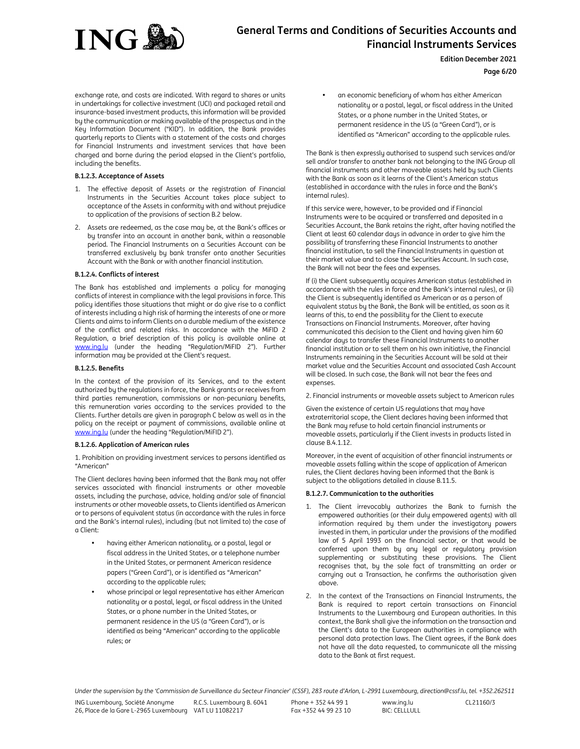

**Edition December 2021**

**Page 6/20**

exchange rate, and costs are indicated. With regard to shares or units in undertakings for collective investment (UCI) and packaged retail and insurance-based investment products, this information will be provided by the communication or making available of the prospectus and in the Key Information Document ("KID"). In addition, the Bank provides quarterly reports to Clients with a statement of the costs and charges for Financial Instruments and investment services that have been charged and borne during the period elapsed in the Client's portfolio, including the benefits.

# **B.1.2.3. Acceptance of Assets**

- 1. The effective deposit of Assets or the registration of Financial Instruments in the Securities Account takes place subject to acceptance of the Assets in conformity with and without prejudice to application of the provisions of section B.2 below.
- 2. Assets are redeemed, as the case may be, at the Bank's offices or by transfer into an account in another bank, within a reasonable period. The Financial Instruments on a Securities Account can be transferred exclusively by bank transfer onto another Securities Account with the Bank or with another financial institution.

# **B.1.2.4. Conflicts of interest**

The Bank has established and implements a policy for managing conflicts of interest in compliance with the legal provisions in force. This policy identifies those situations that might or do give rise to a conflict of interests including a high risk of harming the interests of one or more Clients and aims to inform Clients on a durable medium of the existence of the conflict and related risks. In accordance with the MiFID 2 Regulation, a brief description of this policy is available online at www.ing.lu (under the heading "Regulation/MiFID 2"). Further information may be provided at the Client's request.

### **B.1.2.5. Benefits**

In the context of the provision of its Services, and to the extent authorized by the regulations in force, the Bank grants or receives from third parties remuneration, commissions or non-pecuniary benefits, this remuneration varies according to the services provided to the Clients. Further details are given in paragraph C below as well as in the policy on the receipt or payment of commissions, available online at www.ing.lu (under the heading "Regulation/MiFID 2").

### **B.1.2.6. Application of American rules**

1. Prohibition on providing investment services to persons identified as "American"

The Client declares having been informed that the Bank may not offer services associated with financial instruments or other moveable assets, including the purchase, advice, holding and/or sale of financial instruments or other moveable assets, to Clients identified as American or to persons of equivalent status (in accordance with the rules in force and the Bank's internal rules), including (but not limited to) the case of a Client:

- having either American nationality, or a postal, legal or fiscal address in the United States, or a telephone number in the United States, or permanent American residence papers ("Green Card"), or is identified as "American" according to the applicable rules;
- whose principal or legal representative has either American nationality or a postal, legal, or fiscal address in the United States, or a phone number in the United States, or permanent residence in the US (a "Green Card"), or is identified as being "American" according to the applicable rules; or

an economic beneficiary of whom has either American nationality or a postal, legal, or fiscal address in the United States, or a phone number in the United States, or permanent residence in the US (a "Green Card"), or is identified as "American" according to the applicable rules.

The Bank is then expressly authorised to suspend such services and/or sell and/or transfer to another bank not belonging to the ING Group all financial instruments and other moveable assets held by such Clients with the Bank as soon as it learns of the Client's American status (established in accordance with the rules in force and the Bank's internal rules).

If this service were, however, to be provided and if Financial Instruments were to be acquired or transferred and deposited in a Securities Account, the Bank retains the right, after having notified the Client at least 60 calendar days in advance in order to give him the possibility of transferring these Financial Instruments to another financial institution, to sell the Financial Instruments in question at their market value and to close the Securities Account. In such case, the Bank will not bear the fees and expenses.

If (i) the Client subsequently acquires American status (established in accordance with the rules in force and the Bank's internal rules), or (ii) the Client is subsequently identified as American or as a person of equivalent status by the Bank, the Bank will be entitled, as soon as it learns of this, to end the possibility for the Client to execute Transactions on Financial Instruments. Moreover, after having communicated this decision to the Client and having given him 60 calendar days to transfer these Financial Instruments to another financial institution or to sell them on his own initiative, the Financial Instruments remaining in the Securities Account will be sold at their market value and the Securities Account and associated Cash Account will be closed. In such case, the Bank will not bear the fees and expenses.

2. Financial instruments or moveable assets subject to American rules

Given the existence of certain US regulations that may have extraterritorial scope, the Client declares having been informed that the Bank may refuse to hold certain financial instruments or moveable assets, particularly if the Client invests in products listed in clause B.4.1.12.

Moreover, in the event of acquisition of other financial instruments or moveable assets falling within the scope of application of American rules, the Client declares having been informed that the Bank is subject to the obligations detailed in clause B.11.5.

# **B.1.2.7. Communication to the authorities**

- 1. The Client irrevocably authorizes the Bank to furnish the empowered authorities (or their duly empowered agents) with all information required by them under the investigatory powers invested in them, in particular under the provisions of the modified law of 5 April 1993 on the financial sector, or that would be conferred upon them by any legal or regulatory provision supplementing or substituting these provisions. The Client recognises that, by the sole fact of transmitting an order or carrying out a Transaction, he confirms the authorisation given above.
- 2. In the context of the Transactions on Financial Instruments, the Bank is required to report certain transactions on Financial Instruments to the Luxembourg and European authorities. In this context, the Bank shall give the information on the transaction and the Client's data to the European authorities in compliance with personal data protection laws. The Client agrees, if the Bank does not have all the data requested, to communicate all the missing data to the Bank at first request.

*Under the supervision by the 'Commission de Surveillance du Secteur Financier' (CSSF), 283 route d'Arlon, L-2991 Luxembourg, direction@cssf.lu, tel. +352.262511*

Phone + 352 44 99 1 Fax +352 44 99 23 10

www.ing.lu BIC: CELLLULL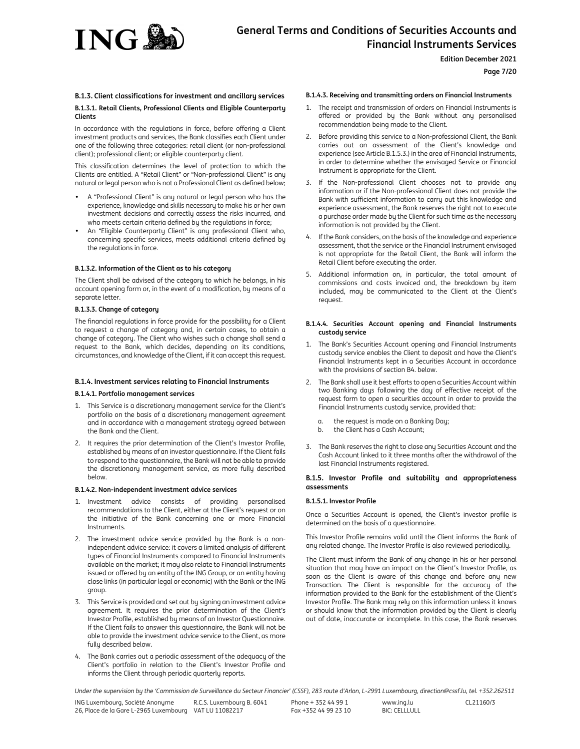

# **Page 7/20**

# **B.1.3. Client classifications for investment and ancillary services B.1.3.1. Retail Clients, Professional Clients and Eligible Counterparty Clients**

In accordance with the regulations in force, before offering a Client investment products and services, the Bank classifies each Client under one of the following three categories: retail client (or non-professional client); professional client; or eligible counterparty client.

This classification determines the level of protection to which the Clients are entitled. A "Retail Client" or "Non-professional Client" is any natural or legal person who is not a Professional Client as defined below;

- A "Professional Client" is any natural or legal person who has the experience, knowledge and skills necessary to make his or her own investment decisions and correctly assess the risks incurred, and who meets certain criteria defined by the regulations in force;
- An "Eligible Counterparty Client" is any professional Client who, concerning specific services, meets additional criteria defined by the regulations in force.

### **B.1.3.2. Information of the Client as to his category**

The Client shall be advised of the category to which he belongs, in his account opening form or, in the event of a modification, by means of a separate letter.

#### **B.1.3.3. Change of category**

The financial regulations in force provide for the possibility for a Client to request a change of category and, in certain cases, to obtain a change of category. The Client who wishes such a change shall send a request to the Bank, which decides, depending on its conditions, circumstances, and knowledge of the Client, if it can accept this request.

### **B.1.4. Investment services relating to Financial Instruments**

#### **B.1.4.1. Portfolio management services**

- 1. This Service is a discretionary management service for the Client's portfolio on the basis of a discretionary management agreement and in accordance with a management strategy agreed between the Bank and the Client.
- 2. It requires the prior determination of the Client's Investor Profile, established by means of an investor questionnaire. If the Client fails to respond to the questionnaire, the Bank will not be able to provide the discretionary management service, as more fully described below.

#### **B.1.4.2. Non-independent investment advice services**

- 1. Investment advice consists of providing personalised recommendations to the Client, either at the Client's request or on the initiative of the Bank concerning one or more Financial Instruments.
- 2. The investment advice service provided by the Bank is a nonindependent advice service: it covers a limited analysis of different types of Financial Instruments compared to Financial Instruments available on the market; it may also relate to Financial Instruments issued or offered by an entity of the ING Group, or an entity having close links (in particular legal or economic) with the Bank or the ING group.
- 3. This Service is provided and set out by signing an investment advice agreement. It requires the prior determination of the Client's Investor Profile, established by means of an Investor Questionnaire. If the Client fails to answer this questionnaire, the Bank will not be able to provide the investment advice service to the Client, as more fully described below.
- 4. The Bank carries out a periodic assessment of the adequacy of the Client's portfolio in relation to the Client's Investor Profile and informs the Client through periodic quarterly reports.

#### **B.1.4.3. Receiving and transmitting orders on Financial Instruments**

- 1. The receipt and transmission of orders on Financial Instruments is offered or provided by the Bank without any personalised recommendation being made to the Client.
- 2. Before providing this service to a Non-professional Client, the Bank carries out an assessment of the Client's knowledge and experience (see Article B.1.5.3.) in the area of Financial Instruments, in order to determine whether the envisaged Service or Financial Instrument is appropriate for the Client.
- 3. If the Non-professional Client chooses not to provide any information or if the Non-professional Client does not provide the Bank with sufficient information to carry out this knowledge and experience assessment, the Bank reserves the right not to execute a purchase order made by the Client for such time as the necessary information is not provided by the Client.
- 4. If the Bank considers, on the basis of the knowledge and experience assessment, that the service or the Financial Instrument envisaged is not appropriate for the Retail Client, the Bank will inform the Retail Client before executing the order.
- Additional information on, in particular, the total amount of commissions and costs invoiced and, the breakdown by item included, may be communicated to the Client at the Client's request.

#### **B.1.4.4. Securities Account opening and Financial Instruments custody service**

- 1. The Bank's Securities Account opening and Financial Instruments custody service enables the Client to deposit and have the Client's Financial Instruments kept in a Securities Account in accordance with the provisions of section B4. below.
- 2. The Bank shall use it best efforts to open a Securities Account within two Banking days following the day of effective receipt of the request form to open a securities account in order to provide the Financial Instruments custody service, provided that:
	- a. the request is made on a Banking Day;
	- b. the Client has a Cash Account;
- 3. The Bank reserves the right to close any Securities Account and the Cash Account linked to it three months after the withdrawal of the last Financial Instruments registered.

### **B.1.5. Investor Profile and suitability and appropriateness assessments**

### **B.1.5.1. Investor Profile**

Once a Securities Account is opened, the Client's investor profile is determined on the basis of a questionnaire.

This Investor Profile remains valid until the Client informs the Bank of any related change. The Investor Profile is also reviewed periodically.

The Client must inform the Bank of any change in his or her personal situation that may have an impact on the Client's Investor Profile, as soon as the Client is aware of this change and before any new Transaction. The Client is responsible for the accuracy of the information provided to the Bank for the establishment of the Client's Investor Profile. The Bank may rely on this information unless it knows or should know that the information provided by the Client is clearly out of date, inaccurate or incomplete. In this case, the Bank reserves

*Under the supervision by the 'Commission de Surveillance du Secteur Financier' (CSSF), 283 route d'Arlon, L-2991 Luxembourg, direction@cssf.lu, tel. +352.262511*

Phone + 352 44 99 1 Fax +352 44 99 23 10

www.ing.lu BIC: CELLLULL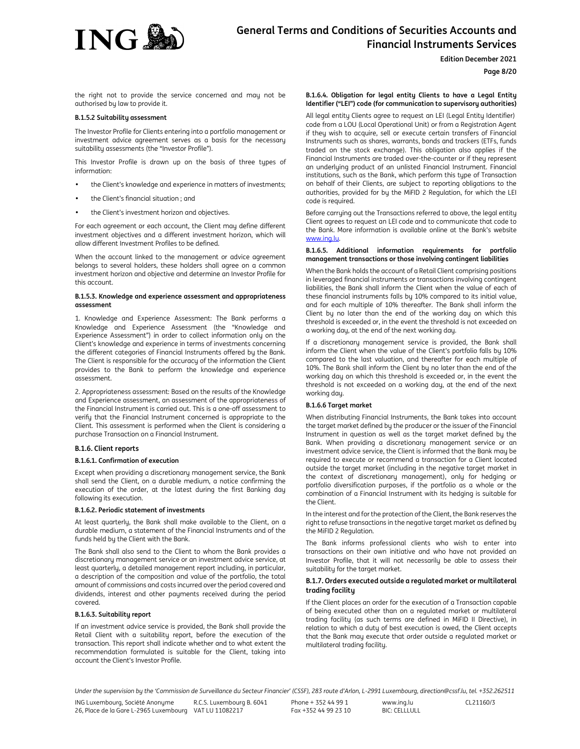

# **Edition December 2021**

# **Page 8/20**

the right not to provide the service concerned and may not be authorised by law to provide it.

# **B.1.5.2 Suitability assessment**

The Investor Profile for Clients entering into a portfolio management or investment advice agreement serves as a basis for the necessary suitability assessments (the "Investor Profile").

This Investor Profile is drawn up on the basis of three types of information:

- the Client's knowledge and experience in matters of investments;
- the Client's financial situation ; and
- the Client's investment horizon and objectives.

For each agreement or each account, the Client may define different investment objectives and a different investment horizon, which will allow different Investment Profiles to be defined.

When the account linked to the management or advice agreement belongs to several holders, these holders shall agree on a common investment horizon and objective and determine an Investor Profile for this account.

#### **B.1.5.3. Knowledge and experience assessment and appropriateness assessment**

1. Knowledge and Experience Assessment: The Bank performs a Knowledge and Experience Assessment (the "Knowledge and Experience Assessment") in order to collect information only on the Client's knowledge and experience in terms of investments concerning the different categories of Financial Instruments offered by the Bank. The Client is responsible for the accuracy of the information the Client provides to the Bank to perform the knowledge and experience assessment.

2. Appropriateness assessment: Based on the results of the Knowledge and Experience assessment, an assessment of the appropriateness of the Financial Instrument is carried out. This is a one-off assessment to verify that the Financial Instrument concerned is appropriate to the Client. This assessment is performed when the Client is considering a purchase Transaction on a Financial Instrument.

### **B.1.6. Client reports**

### **B.1.6.1. Confirmation of execution**

Except when providing a discretionary management service, the Bank shall send the Client, on a durable medium, a notice confirming the execution of the order, at the latest during the first Banking day following its execution.

### **B.1.6.2. Periodic statement of investments**

At least quarterly, the Bank shall make available to the Client, on a durable medium, a statement of the Financial Instruments and of the funds held by the Client with the Bank.

The Bank shall also send to the Client to whom the Bank provides a discretionary management service or an investment advice service, at least quarterly, a detailed management report including, in particular, a description of the composition and value of the portfolio, the total amount of commissions and costs incurred over the period covered and dividends, interest and other payments received during the period covered.

### **B.1.6.3. Suitability report**

If an investment advice service is provided, the Bank shall provide the Retail Client with a suitability report, before the execution of the transaction. This report shall indicate whether and to what extent the recommendation formulated is suitable for the Client, taking into account the Client's Investor Profile.

# **B.1.6.4. Obligation for legal entity Clients to have a Legal Entity Identifier ("LEI") code (for communication to supervisory authorities)**

All legal entity Clients agree to request an LEI (Legal Entity Identifier) code from a LOU (Local Operational Unit) or from a Registration Agent if they wish to acquire, sell or execute certain transfers of Financial Instruments such as shares, warrants, bonds and trackers (ETFs, funds traded on the stock exchange). This obligation also applies if the Financial Instruments are traded over-the-counter or if they represent an underlying product of an unlisted Financial Instrument. Financial institutions, such as the Bank, which perform this type of Transaction on behalf of their Clients, are subject to reporting obligations to the authorities, provided for by the MiFID 2 Regulation, for which the LEI code is required.

Before carrying out the Transactions referred to above, the legal entity Client agrees to request an LEI code and to communicate that code to the Bank. More information is available online at the Bank's website www.ing.lu

#### **B.1.6.5. Additional information requirements for portfolio management transactions or those involving contingent liabilities**

When the Bank holds the account of a Retail Client comprising positions in leveraged financial instruments or transactions involving contingent liabilities, the Bank shall inform the Client when the value of each of these financial instruments falls by 10% compared to its initial value, and for each multiple of 10% thereafter. The Bank shall inform the Client by no later than the end of the working day on which this threshold is exceeded or, in the event the threshold is not exceeded on a working day, at the end of the next working day.

If a discretionary management service is provided, the Bank shall inform the Client when the value of the Client's portfolio falls by 10% compared to the last valuation, and thereafter for each multiple of 10%. The Bank shall inform the Client by no later than the end of the working day on which this threshold is exceeded or, in the event the threshold is not exceeded on a working day, at the end of the next working day.

### **B.1.6.6 Target market**

When distributing Financial Instruments, the Bank takes into account the target market defined by the producer or the issuer of the Financial Instrument in question as well as the target market defined by the Bank. When providing a discretionary management service or an investment advice service, the Client is informed that the Bank may be required to execute or recommend a transaction for a Client located outside the target market (including in the negative target market in the context of discretionary management), only for hedging or portfolio diversification purposes, if the portfolio as a whole or the combination of a Financial Instrument with its hedging is suitable for the Client.

In the interest and for the protection of the Client, the Bank reserves the right to refuse transactions in the negative target market as defined by the MiFID 2 Regulation.

The Bank informs professional clients who wish to enter into transactions on their own initiative and who have not provided an Investor Profile, that it will not necessarily be able to assess their suitability for the target market.

# **B.1.7. Orders executed outside a regulated market or multilateral trading facility**

If the Client places an order for the execution of a Transaction capable of being executed other than on a regulated market or multilateral trading facility (as such terms are defined in MiFID II Directive), in relation to which a duty of best execution is owed, the Client accepts that the Bank may execute that order outside a regulated market or multilateral trading facility.

*Under the supervision by the 'Commission de Surveillance du Secteur Financier' (CSSF), 283 route d'Arlon, L-2991 Luxembourg, direction@cssf.lu, tel. +352.262511*

ING Luxembourg, Société Anonyme 26, Place de la Gare L-2965 Luxembourg VAT LU 11082217 R.C.S. Luxembourg B. 6041 Phone + 352 44 99 1 Fax +352 44 99 23 10

www.ing.lu BIC: CELLLULL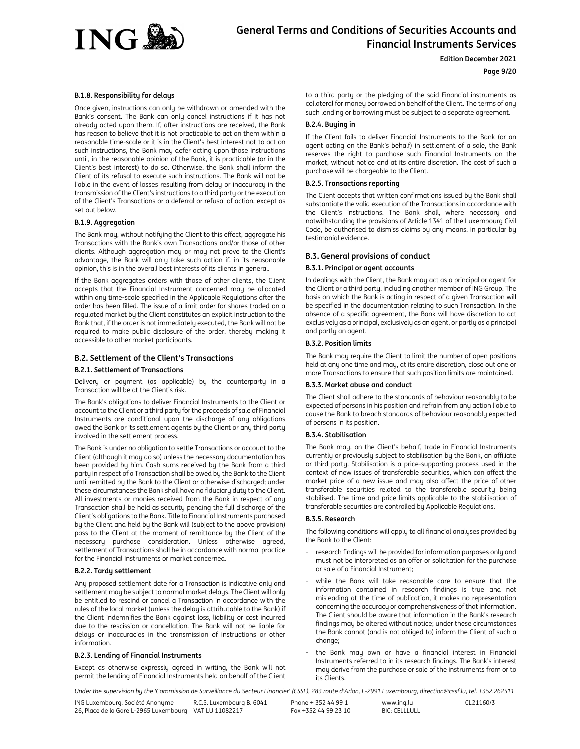

**Edition December 2021**

# **Page 9/20**

# **B.1.8. Responsibility for delays**

Once given, instructions can only be withdrawn or amended with the Bank's consent. The Bank can only cancel instructions if it has not already acted upon them. If, after instructions are received, the Bank has reason to believe that it is not practicable to act on them within a reasonable time-scale or it is in the Client's best interest not to act on such instructions, the Bank may defer acting upon those instructions until, in the reasonable opinion of the Bank, it is practicable (or in the Client's best interest) to do so. Otherwise, the Bank shall inform the Client of its refusal to execute such instructions. The Bank will not be liable in the event of losses resulting from delay or inaccuracy in the transmission of the Client's instructions to a third party or the execution of the Client's Transactions or a deferral or refusal of action, except as set out below.

# **B.1.9. Aggregation**

The Bank may, without notifying the Client to this effect, aggregate his Transactions with the Bank's own Transactions and/or those of other clients. Although aggregation may or may not prove to the Client's advantage, the Bank will only take such action if, in its reasonable opinion, this is in the overall best interests of its clients in general.

If the Bank aggregates orders with those of other clients, the Client accepts that the Financial Instrument concerned may be allocated within any time-scale specified in the Applicable Regulations after the order has been filled. The issue of a limit order for shares traded on a regulated market by the Client constitutes an explicit instruction to the Bank that, if the order is not immediately executed, the Bank will not be required to make public disclosure of the order, thereby making it accessible to other market participants.

# **B.2. Settlement of the Client's Transactions**

#### **B.2.1. Settlement of Transactions**

Delivery or payment (as applicable) by the counterparty in a Transaction will be at the Client's risk.

The Bank's obligations to deliver Financial Instruments to the Client or account to the Client or a third party for the proceeds of sale of Financial Instruments are conditional upon the discharge of any obligations owed the Bank or its settlement agents by the Client or any third party involved in the settlement process.

The Bank is under no obligation to settle Transactions or account to the Client (although it may do so) unless the necessary documentation has been provided by him. Cash sums received by the Bank from a third party in respect of a Transaction shall be owed by the Bank to the Client until remitted by the Bank to the Client or otherwise discharged; under these circumstances the Bank shall have no fiduciary duty to the Client. All investments or monies received from the Bank in respect of any Transaction shall be held as security pending the full discharge of the Client's obligations to the Bank. Title to Financial Instruments purchased by the Client and held by the Bank will (subject to the above provision) pass to the Client at the moment of remittance by the Client of the necessary purchase consideration. Unless otherwise agreed, settlement of Transactions shall be in accordance with normal practice for the Financial Instruments or market concerned.

#### **B.2.2. Tardy settlement**

Any proposed settlement date for a Transaction is indicative only and settlement may be subject to normal market delays. The Client will only be entitled to rescind or cancel a Transaction in accordance with the rules of the local market (unless the delay is attributable to the Bank) if the Client indemnifies the Bank against loss, liability or cost incurred due to the rescission or cancellation. The Bank will not be liable for delays or inaccuracies in the transmission of instructions or other information.

#### **B.2.3. Lending of Financial Instruments**

Except as otherwise expressly agreed in writing, the Bank will not permit the lending of Financial Instruments held on behalf of the Client to a third party or the pledging of the said Financial instruments as collateral for money borrowed on behalf of the Client. The terms of any such lending or borrowing must be subject to a separate agreement.

# **B.2.4. Buying in**

If the Client fails to deliver Financial Instruments to the Bank (or an agent acting on the Bank's behalf) in settlement of a sale, the Bank reserves the right to purchase such Financial Instruments on the market, without notice and at its entire discretion. The cost of such a purchase will be chargeable to the Client.

#### **B.2.5. Transactions reporting**

The Client accepts that written confirmations issued by the Bank shall substantiate the valid execution of the Transactions in accordance with the Client's instructions. The Bank shall, where necessary and notwithstanding the provisions of Article 1341 of the Luxembourg Civil Code, be authorised to dismiss claims by any means, in particular by testimonial evidence.

#### **B.3. General provisions of conduct**

#### **B.3.1. Principal or agent accounts**

In dealings with the Client, the Bank may act as a principal or agent for the Client or a third party, including another member of ING Group. The basis on which the Bank is acting in respect of a given Transaction will be specified in the documentation relating to such Transaction. In the absence of a specific agreement, the Bank will have discretion to act exclusively as a principal, exclusively as an agent, or partly as a principal and partly an agent.

# **B.3.2. Position limits**

The Bank may require the Client to limit the number of open positions held at any one time and may, at its entire discretion, close out one or more Transactions to ensure that such position limits are maintained.

#### **B.3.3. Market abuse and conduct**

The Client shall adhere to the standards of behaviour reasonably to be expected of persons in his position and refrain from any action liable to cause the Bank to breach standards of behaviour reasonably expected of persons in its position.

#### **B.3.4. Stabilisation**

The Bank may, on the Client's behalf, trade in Financial Instruments currently or previously subject to stabilisation by the Bank, an affiliate or third party. Stabilisation is a price-supporting process used in the context of new issues of transferable securities, which can affect the market price of a new issue and may also affect the price of other transferable securities related to the transferable security being stabilised. The time and price limits applicable to the stabilisation of transferable securities are controlled by Applicable Regulations.

#### **B.3.5. Research**

The following conditions will apply to all financial analyses provided by the Bank to the Client:

- research findings will be provided for information purposes only and must not be interpreted as an offer or solicitation for the purchase or sale of a Financial Instrument;
- while the Bank will take reasonable care to ensure that the information contained in research findings is true and not misleading at the time of publication, it makes no representation concerning the accuracy or comprehensiveness of that information. The Client should be aware that information in the Bank's research findings may be altered without notice; under these circumstances the Bank cannot (and is not obliged to) inform the Client of such a change;
- the Bank may own or have a financial interest in Financial Instruments referred to in its research findings. The Bank's interest may derive from the purchase or sale of the instruments from or to its Clients.

*Under the supervision by the 'Commission de Surveillance du Secteur Financier' (CSSF), 283 route d'Arlon, L-2991 Luxembourg, direction@cssf.lu, tel. +352.262511*

ING Luxembourg, Société Anonyme 26, Place de la Gare L-2965 Luxembourg VAT LU 11082217 R.C.S. Luxembourg B. 6041

Phone + 352 44 99 1 Fax +352 44 99 23 10

www.ing.lu  $BIC: CFI$  $I$  $I$  $I$  $II$  $I$  $I$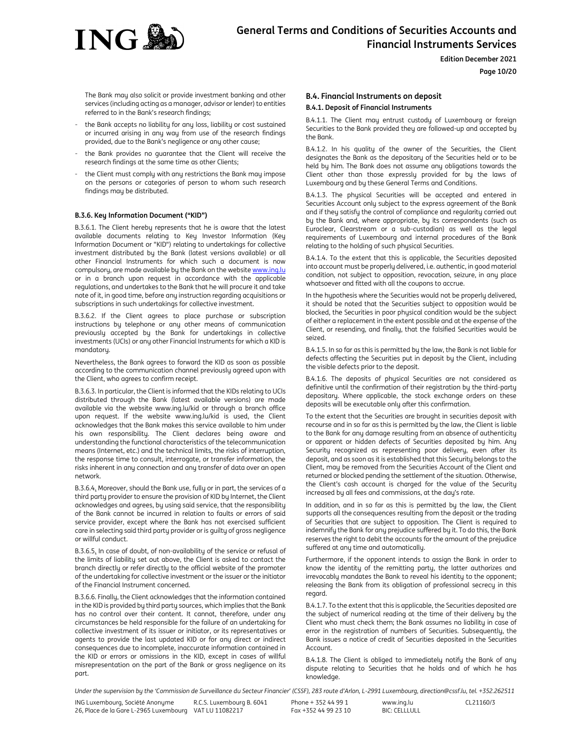

# **Page 10/20**

The Bank may also solicit or provide investment banking and other services (including acting as a manager, advisor or lender) to entities referred to in the Bank's research findings;

- the Bank accepts no liability for any loss, liability or cost sustained or incurred arising in any way from use of the research findings provided, due to the Bank's negligence or any other cause;
- the Bank provides no guarantee that the Client will receive the research findings at the same time as other Clients;
- the Client must comply with any restrictions the Bank may impose on the persons or categories of person to whom such research findings may be distributed.

# **B.3.6. Key Information Document ("KID")**

B.3.6.1. The Client hereby represents that he is aware that the latest available documents relating to Key Investor Information (Key Information Document or "KID") relating to undertakings for collective investment distributed by the Bank (latest versions available) or all other Financial Instruments for which such a document is now compulsory, are made available by the Bank on the website www.ing.lu or in a branch upon request in accordance with the applicable regulations, and undertakes to the Bank that he will procure it and take note of it, in good time, before any instruction regarding acquisitions or subscriptions in such undertakings for collective investment.

B.3.6.2. If the Client agrees to place purchase or subscription instructions by telephone or any other means of communication previously accepted by the Bank for undertakings in collective investments (UCIs) or any other Financial Instruments for which a KID is mandatory.

Nevertheless, the Bank agrees to forward the KID as soon as possible according to the communication channel previously agreed upon with the Client, who agrees to confirm receipt.

B.3.6.3. In particular, the Client is informed that the KIDs relating to UCIs distributed through the Bank (latest available versions) are made available via the website www.ing.lu/kid or through a branch office upon request. If the website www.ing.lu/kid is used, the Client acknowledges that the Bank makes this service available to him under his own responsibility. The Client declares being aware and understanding the functional characteristics of the telecommunication means (Internet, etc.) and the technical limits, the risks of interruption, the response time to consult, interrogate, or transfer information, the risks inherent in any connection and any transfer of data over an open network.

B.3.6.4. Moreover, should the Bank use, fully or in part, the services of a third party provider to ensure the provision of KID by Internet, the Client acknowledges and agrees, by using said service, that the responsibility of the Bank cannot be incurred in relation to faults or errors of said service provider, except where the Bank has not exercised sufficient care in selecting said third party provider or is guilty of gross negligence or willful conduct.

B.3.6.5. In case of doubt, of non-availability of the service or refusal of the limits of liability set out above, the Client is asked to contact the branch directly or refer directly to the official website of the promoter of the undertaking for collective investment or the issuer or the initiator of the Financial Instrument concerned.

B.3.6.6. Finally, the Client acknowledges that the information contained in the KID is provided by third party sources, which implies that the Bank has no control over their content. It cannot, therefore, under any circumstances be held responsible for the failure of an undertaking for collective investment of its issuer or initiator, or its representatives or agents to provide the last updated KID or for any direct or indirect consequences due to incomplete, inaccurate information contained in the KID or errors or omissions in the KID, except in cases of willful misrepresentation on the part of the Bank or gross negligence on its part.

# **B.4. Financial Instruments on deposit B.4.1. Deposit of Financial Instruments**

B.4.1.1. The Client may entrust custody of Luxembourg or foreign Securities to the Bank provided they are followed-up and accepted by the Bank.

B.4.1.2. In his quality of the owner of the Securities, the Client designates the Bank as the depositary of the Securities held or to be held by him. The Bank does not assume any obligations towards the Client other than those expressly provided for by the laws of Luxembourg and by these General Terms and Conditions.

B.4.1.3. The physical Securities will be accepted and entered in Securities Account only subject to the express agreement of the Bank and if they satisfy the control of compliance and regularity carried out by the Bank and, where appropriate, by its correspondents (such as Euroclear, Clearstream or a sub-custodian) as well as the legal requirements of Luxembourg and internal procedures of the Bank relating to the holding of such physical Securities.

B.4.1.4. To the extent that this is applicable, the Securities deposited into account must be properly delivered, i.e. authentic, in good material condition, not subject to opposition, revocation, seizure, in any place whatsoever and fitted with all the coupons to accrue.

In the hypothesis where the Securities would not be properly delivered, it should be noted that the Securities subject to opposition would be blocked, the Securities in poor physical condition would be the subject of either a replacement in the extent possible and at the expense of the Client, or resending, and finally, that the falsified Securities would be seized.

B.4.1.5. In so far as this is permitted by the law, the Bank is not liable for defects affecting the Securities put in deposit by the Client, including the visible defects prior to the deposit.

B.4.1.6. The deposits of physical Securities are not considered as definitive until the confirmation of their registration by the third-party depositary. Where applicable, the stock exchange orders on these deposits will be executable only after this confirmation.

To the extent that the Securities are brought in securities deposit with recourse and in so far as this is permitted by the law, the Client is liable to the Bank for any damage resulting from an absence of authenticity or apparent or hidden defects of Securities deposited by him. Any Security recognized as representing poor delivery, even after its deposit, and as soon as it is established that this Security belongs to the Client, may be removed from the Securities Account of the Client and returned or blocked pending the settlement of the situation. Otherwise, the Client's cash account is charged for the value of the Security increased by all fees and commissions, at the day's rate.

In addition, and in so far as this is permitted by the law, the Client supports all the consequences resulting from the deposit or the trading of Securities that are subject to opposition. The Client is required to indemnify the Bank for any prejudice suffered by it. To do this, the Bank reserves the right to debit the accounts for the amount of the prejudice suffered at any time and automatically.

Furthermore, if the opponent intends to assign the Bank in order to know the identity of the remitting party, the latter authorizes and irrevocably mandates the Bank to reveal his identity to the opponent; releasing the Bank from its obligation of professional secrecy in this regard.

B.4.1.7. To the extent that this is applicable, the Securities deposited are the subject of numerical reading at the time of their delivery by the Client who must check them; the Bank assumes no liability in case of error in the registration of numbers of Securities. Subsequently, the Bank issues a notice of credit of Securities deposited in the Securities Account.

B.4.1.8. The Client is obliged to immediately notify the Bank of any dispute relating to Securities that he holds and of which he has knowledge.

*Under the supervision by the 'Commission de Surveillance du Secteur Financier' (CSSF), 283 route d'Arlon, L-2991 Luxembourg, direction@cssf.lu, tel. +352.262511*

ING Luxembourg, Société Anonyme 26, Place de la Gare L-2965 Luxembourg VAT LU 11082217 R.C.S. Luxembourg B. 6041

Phone + 352 44 99 1 Fax +352 44 99 23 10

www.ing.lu  $BIC: CFI$  $I$  $I$  $I$  $II$  $I$  $I$ CL21160/3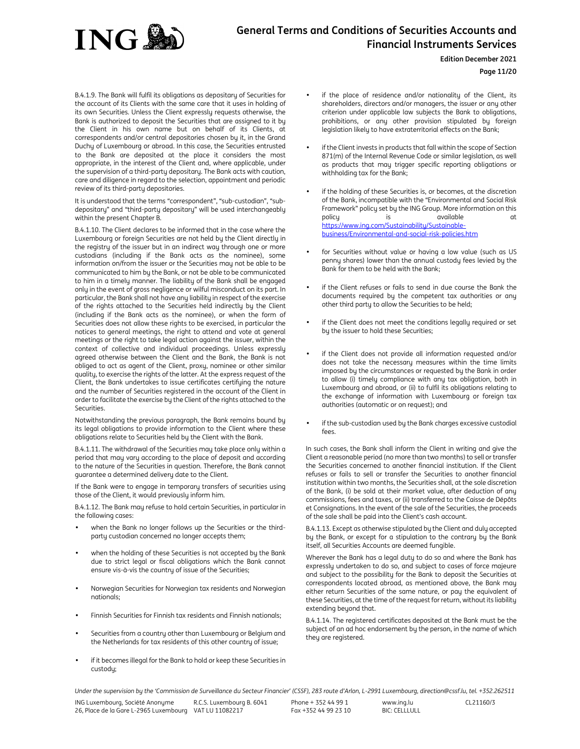

**Edition December 2021**

**Page 11/20**

B.4.1.9. The Bank will fulfil its obligations as depositary of Securities for the account of its Clients with the same care that it uses in holding of its own Securities. Unless the Client expressly requests otherwise, the Bank is authorized to deposit the Securities that are assigned to it by the Client in his own name but on behalf of its Clients, at correspondents and/or central depositories chosen by it, in the Grand Duchy of Luxembourg or abroad. In this case, the Securities entrusted to the Bank are deposited at the place it considers the most appropriate, in the interest of the Client and, where applicable, under the supervision of a third-party depositary. The Bank acts with caution, care and diligence in regard to the selection, appointment and periodic review of its third-party depositories.

It is understood that the terms "correspondent", "sub-custodian", "subdepositary" and "third-party depositary" will be used interchangeably within the present Chapter B.

B.4.1.10. The Client declares to be informed that in the case where the Luxembourg or foreign Securities are not held by the Client directly in the registry of the issuer but in an indirect way through one or more custodians (including if the Bank acts as the nominee), some information on/from the issuer or the Securities may not be able to be communicated to him by the Bank, or not be able to be communicated to him in a timely manner. The liability of the Bank shall be engaged only in the event of gross negligence or wilful misconduct on its part. In particular, the Bank shall not have any liability in respect of the exercise of the rights attached to the Securities held indirectly by the Client (including if the Bank acts as the nominee), or when the form of Securities does not allow these rights to be exercised, in particular the notices to general meetings, the right to attend and vote at general meetings or the right to take legal action against the issuer, within the context of collective and individual proceedings. Unless expressly agreed otherwise between the Client and the Bank, the Bank is not obliged to act as agent of the Client, proxy, nominee or other similar quality, to exercise the rights of the latter. At the express request of the Client, the Bank undertakes to issue certificates certifying the nature and the number of Securities registered in the account of the Client in order to facilitate the exercise by the Client of the rights attached to the Securities.

Notwithstanding the previous paragraph, the Bank remains bound by its legal obligations to provide information to the Client where these obligations relate to Securities held by the Client with the Bank.

B.4.1.11. The withdrawal of the Securities may take place only within a period that may vary according to the place of deposit and according to the nature of the Securities in question. Therefore, the Bank cannot guarantee a determined delivery date to the Client.

If the Bank were to engage in temporary transfers of securities using those of the Client, it would previously inform him.

B.4.1.12. The Bank may refuse to hold certain Securities, in particular in the following cases:

- when the Bank no longer follows up the Securities or the thirdparty custodian concerned no longer accepts them;
- when the holding of these Securities is not accepted by the Bank due to strict legal or fiscal obligations which the Bank cannot ensure vis-à-vis the country of issue of the Securities;
- Norwegian Securities for Norwegian tax residents and Norwegian nationals;
- Finnish Securities for Finnish tax residents and Finnish nationals;
- Securities from a country other than Luxembourg or Belgium and the Netherlands for tax residents of this other country of issue;
- if it becomes illegal for the Bank to hold or keep these Securities in custody;
- if the place of residence and/or nationality of the Client, its shareholders, directors and/or managers, the issuer or any other criterion under applicable law subjects the Bank to obligations, prohibitions, or any other provision stipulated by foreign legislation likely to have extraterritorial effects on the Bank;
- if the Client invests in products that fall within the scope of Section 871(m) of the Internal Revenue Code or similar legislation, as well as products that may trigger specific reporting obligations or withholding tax for the Bank;
- if the holding of these Securities is, or becomes, at the discretion of the Bank, incompatible with the "Environmental and Social Risk Framework" policy set by the ING Group. More information on this policy is is available at a https://www.ing.com/Sustainability/Sustainablebusiness/Environmental-and-social-risk-policies.htm
- for Securities without value or having a low value (such as US penny shares) lower than the annual custody fees levied by the Bank for them to be held with the Bank;
- if the Client refuses or fails to send in due course the Bank the documents required by the competent tax authorities or any other third party to allow the Securities to be held;
- if the Client does not meet the conditions legally required or set by the issuer to hold these Securities;
- if the Client does not provide all information requested and/or does not take the necessary measures within the time limits imposed by the circumstances or requested by the Bank in order to allow (i) timely compliance with any tax obligation, both in Luxembourg and abroad, or (ii) to fulfil its obligations relating to the exchange of information with Luxembourg or foreign tax authorities (automatic or on request); and
- if the sub-custodian used by the Bank charges excessive custodial fees.

In such cases, the Bank shall inform the Client in writing and give the Client a reasonable period (no more than two months) to sell or transfer the Securities concerned to another financial institution. If the Client refuses or fails to sell or transfer the Securities to another financial institution within two months, the Securities shall, at the sole discretion of the Bank, (i) be sold at their market value, after deduction of any commissions, fees and taxes, or (ii) transferred to the Caisse de Dépôts et Consignations. In the event of the sale of the Securities, the proceeds of the sale shall be paid into the Client's cash account.

B.4.1.13. Except as otherwise stipulated by the Client and duly accepted by the Bank, or except for a stipulation to the contrary by the Bank itself, all Securities Accounts are deemed fungible.

Wherever the Bank has a legal duty to do so and where the Bank has expressly undertaken to do so, and subject to cases of force majeure and subject to the possibility for the Bank to deposit the Securities at correspondents located abroad, as mentioned above, the Bank may either return Securities of the same nature, or pay the equivalent of these Securities, at the time of the request for return, without its liability extending beyond that.

B.4.1.14. The registered certificates deposited at the Bank must be the subject of an ad hoc endorsement by the person, in the name of which they are registered.

*Under the supervision by the 'Commission de Surveillance du Secteur Financier' (CSSF), 283 route d'Arlon, L-2991 Luxembourg, direction@cssf.lu, tel. +352.262511*

ING Luxembourg, Société Anonyme 26, Place de la Gare L-2965 Luxembourg VAT LU 11082217 R.C.S. Luxembourg B. 6041 Phone + 352 44 99 1 Fax +352 44 99 23 10 www.ing.lu  $BIC: CFI$  $I$  $I$  $I$  $II$  $I$  $I$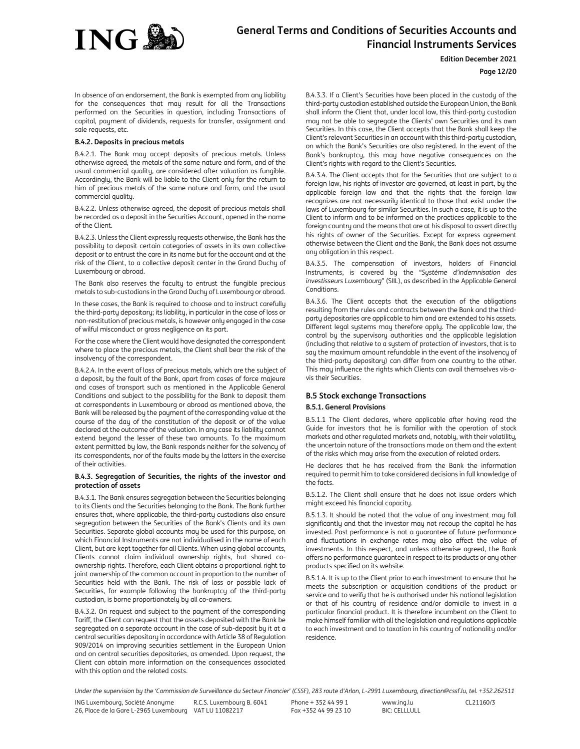

# **Edition December 2021**

# **Page 12/20**

In absence of an endorsement, the Bank is exempted from any liability for the consequences that may result for all the Transactions performed on the Securities in question, including Transactions of capital, payment of dividends, requests for transfer, assignment and sale requests, etc.

### **B.4.2. Deposits in precious metals**

B.4.2.1. The Bank may accept deposits of precious metals. Unless otherwise agreed, the metals of the same nature and form, and of the usual commercial quality, are considered after valuation as fungible. Accordingly, the Bank will be liable to the Client only for the return to him of precious metals of the same nature and form, and the usual commercial quality.

B.4.2.2. Unless otherwise agreed, the deposit of precious metals shall be recorded as a deposit in the Securities Account, opened in the name of the Client.

B.4.2.3. Unless the Client expressly requests otherwise, the Bank has the possibility to deposit certain categories of assets in its own collective deposit or to entrust the care in its name but for the account and at the risk of the Client, to a collective deposit center in the Grand Duchy of Luxembourg or abroad.

The Bank also reserves the faculty to entrust the fungible precious metals to sub-custodians in the Grand Duchy of Luxembourg or abroad.

In these cases, the Bank is required to choose and to instruct carefully the third-party depositary; its liability, in particular in the case of loss or non-restitution of precious metals, is however only engaged in the case of wilful misconduct or gross negligence on its part.

For the case where the Client would have designated the correspondent where to place the precious metals, the Client shall bear the risk of the insolvency of the correspondent.

B.4.2.4. In the event of loss of precious metals, which are the subject of a deposit, by the fault of the Bank, apart from cases of force majeure and cases of transport such as mentioned in the Applicable General Conditions and subject to the possibility for the Bank to deposit them at correspondents in Luxembourg or abroad as mentioned above, the Bank will be released by the payment of the corresponding value at the course of the day of the constitution of the deposit or of the value declared at the outcome of the valuation. In any case its liability cannot extend beyond the lesser of these two amounts. To the maximum extent permitted by law, the Bank responds neither for the solvency of its correspondents, nor of the faults made by the latters in the exercise of their activities.

# **B.4.3. Segregation of Securities, the rights of the investor and protection of assets**

B.4.3.1. The Bank ensures segregation between the Securities belonging to its Clients and the Securities belonging to the Bank. The Bank further ensures that, where applicable, the third-party custodians also ensure segregation between the Securities of the Bank's Clients and its own Securities. Separate global accounts may be used for this purpose, on which Financial Instruments are not individualised in the name of each Client, but are kept together for all Clients. When using global accounts, Clients cannot claim individual ownership rights, but shared coownership rights. Therefore, each Client obtains a proportional right to joint ownership of the common account in proportion to the number of Securities held with the Bank. The risk of loss or possible lack of Securities, for example following the bankruptcy of the third-party custodian, is borne proportionately by all co-owners.

B.4.3.2. On request and subject to the payment of the corresponding Tariff, the Client can request that the assets deposited with the Bank be segregated on a separate account in the case of sub-deposit by it at a central securities depositary in accordance with Article 38 of Regulation 909/2014 on improving securities settlement in the European Union and on central securities depositaries, as amended. Upon request, the Client can obtain more information on the consequences associated with this option and the related costs.

B.4.3.3. If a Client's Securities have been placed in the custody of the third-party custodian established outside the European Union, the Bank shall inform the Client that, under local law, this third-party custodian may not be able to segregate the Clients' own Securities and its own Securities. In this case, the Client accepts that the Bank shall keep the Client's relevant Securities in an account with this third-party custodian, on which the Bank's Securities are also registered. In the event of the Bank's bankruptcy, this may have negative consequences on the Client's rights with regard to the Client's Securities.

B.4.3.4. The Client accepts that for the Securities that are subject to a foreign law, his rights of investor are governed, at least in part, by the applicable foreign law and that the rights that the foreign law recognizes are not necessarily identical to those that exist under the laws of Luxembourg for similar Securities. In such a case, it is up to the Client to inform and to be informed on the practices applicable to the foreign country and the means that are at his disposal to assert directly his rights of owner of the Securities. Except for express agreement otherwise between the Client and the Bank, the Bank does not assume any obligation in this respect.

B.4.3.5. The compensation of investors, holders of Financial Instruments, is covered by the "*Système d'indemnisation des investisseurs Luxembourg*" (SIIL), as described in the Applicable General **Conditions** 

B.4.3.6. The Client accepts that the execution of the obligations resulting from the rules and contracts between the Bank and the thirdparty depositaries are applicable to him and are extended to his assets. Different legal systems may therefore apply. The applicable law, the control by the supervisory authorities and the applicable legislation (including that relative to a system of protection of investors, that is to say the maximum amount refundable in the event of the insolvency of the third-party depositary) can differ from one country to the other. This may influence the rights which Clients can avail themselves vis-avis their Securities.

# **B.5 Stock exchange Transactions**

### **B.5.1. General Provisions**

B.5.1.1 The Client declares, where applicable after having read the Guide for investors that he is familiar with the operation of stock markets and other regulated markets and, notably, with their volatility, the uncertain nature of the transactions made on them and the extent of the risks which may arise from the execution of related orders.

He declares that he has received from the Bank the information required to permit him to take considered decisions in full knowledge of the facts.

B.5.1.2. The Client shall ensure that he does not issue orders which might exceed his financial capacity.

B.5.1.3. It should be noted that the value of any investment may fall significantly and that the investor may not recoup the capital he has invested. Past performance is not a guarantee of future performance and fluctuations in exchange rates may also affect the value of investments. In this respect, and unless otherwise agreed, the Bank offers no performance guarantee in respect to its products or any other products specified on its website.

B.5.1.4. It is up to the Client prior to each investment to ensure that he meets the subscription or acquisition conditions of the product or service and to verify that he is authorised under his national legislation or that of his country of residence and/or domicile to invest in a particular financial product. It is therefore incumbent on the Client to make himself familiar with all the legislation and regulations applicable to each investment and to taxation in his country of nationality and/or residence.

*Under the supervision by the 'Commission de Surveillance du Secteur Financier' (CSSF), 283 route d'Arlon, L-2991 Luxembourg, direction@cssf.lu, tel. +352.262511*

ING Luxembourg, Société Anonyme 26, Place de la Gare L-2965 Luxembourg VAT LU 11082217 R.C.S. Luxembourg B. 6041 Phone + 352 44 99 1 Fax +352 44 99 23 10 www.ing.lu  $BIC: CFI$  $I$  $I$  $I$  $II$  $I$  $I$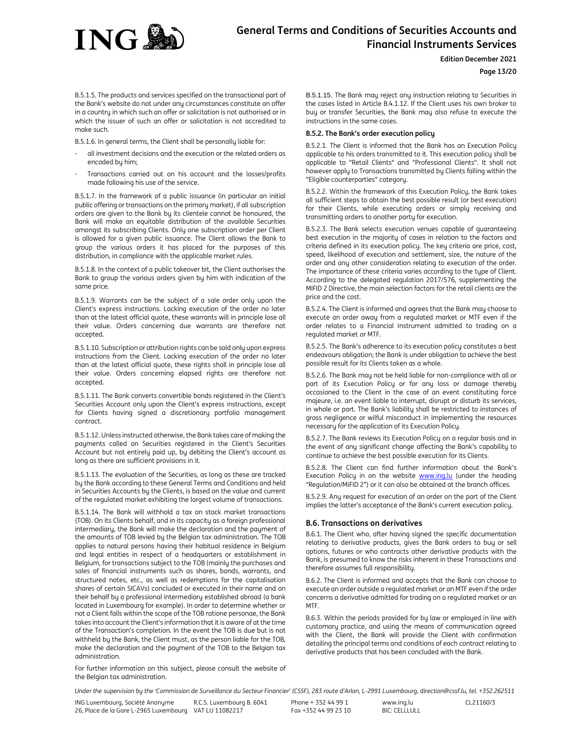

**Edition December 2021**

# **Page 13/20**

B.5.1.5. The products and services specified on the transactional part of the Bank's website do not under any circumstances constitute an offer in a country in which such an offer or solicitation is not authorised or in which the issuer of such an offer or solicitation is not accredited to make such.

B.5.1.6. In general terms, the Client shall be personally liable for:

- all investment decisions and the execution or the related orders as encoded by him;
- Transactions carried out on his account and the losses/profits made following his use of the service.

B.5.1.7. In the framework of a public issuance (in particular an initial public offering or transactions on the primary market), if all subscription orders are given to the Bank by its clientele cannot be honoured, the Bank will make an equitable distribution of the available Securities amongst its subscribing Clients. Only one subscription order per Client is allowed for a given public issuance. The Client allows the Bank to group the various orders it has placed for the purposes of this distribution, in compliance with the applicable market rules.

B.5.1.8. In the context of a public takeover bit, the Client authorises the Bank to group the various orders given by him with indication of the same price.

B.5.1.9. Warrants can be the subject of a sale order only upon the Client's express instructions. Lacking execution of the order no later than at the latest official quote, these warrants will in principle lose all their value. Orders concerning due warrants are therefore not accepted.

B.5.1.10. Subscription or attribution rights can be sold only upon express instructions from the Client. Lacking execution of the order no later than at the latest official quote, these rights shall in principle lose all their value. Orders concerning elapsed rights are therefore not accepted.

B.5.1.11. The Bank converts convertible bonds registered in the Client's Securities Account only upon the Client's express instructions, except for Clients having signed a discretionary portfolio management contract.

B.5.1.12. Unless instructed otherwise, the Bank takes care of making the payments called on Securities registered in the Client's Securities Account but not entirely paid up, by debiting the Client's account as long as there are sufficient provisions in it.

B.5.1.13. The evaluation of the Securities, as long as these are tracked by the Bank according to these General Terms and Conditions and held in Securities Accounts by the Clients, is based on the value and current of the regulated market exhibiting the largest volume of transactions.

B.5.1.14. The Bank will withhold a tax on stock market transactions (TOB). On its Clients behalf, and in its capacity as a foreign professional intermediary, the Bank will make the declaration and the payment of the amounts of TOB levied by the Belgian tax administration. The TOB applies to natural persons having their habitual residence in Belgium and legal entities in respect of a headquarters or establishment in Belgium, for transactions subject to the TOB (mainly the purchases and sales of financial instruments such as shares, bonds, warrants, and structured notes, etc., as well as redemptions for the capitalisation shares of certain SICAVs) concluded or executed in their name and on their behalf by a professional intermediary established abroad (a bank located in Luxembourg for example). In order to determine whether or not a Client falls within the scope of the TOB ratione personae, the Bank takes into account the Client's information that it is aware of at the time of the Transaction's completion. In the event the TOB is due but is not withheld by the Bank, the Client must, as the person liable for the TOB, make the declaration and the payment of the TOB to the Belgian tax administration.

For further information on this subject, please consult the website of the Belgian tax administration.

B.5.1.15. The Bank may reject any instruction relating to Securities in the cases listed in Article B.4.1.12. If the Client uses his own broker to buy or transfer Securities, the Bank may also refuse to execute the instructions in the same cases.

# **B.5.2. The Bank's order execution policy**

B.5.2.1. The Client is informed that the Bank has an Execution Policy applicable to his orders transmitted to it. This execution policy shall be applicable to "Retail Clients" and "Professional Clients". It shall not however apply to Transactions transmitted by Clients falling within the "Eligible counterparties" category.

B.5.2.2. Within the framework of this Execution Policy, the Bank takes all sufficient steps to obtain the best possible result (or best execution) for their Clients, while executing orders or simply receiving and transmitting orders to another party for execution.

B.5.2.3. The Bank selects execution venues capable of guaranteeing best execution in the majority of cases in relation to the factors and criteria defined in its execution policy. The key criteria are price, cost, speed, likelihood of execution and settlement, size, the nature of the order and any other consideration relating to execution of the order. The importance of these criteria varies according to the type of Client. According to the delegated regulation 2017/576, supplementing the MIFID 2 Directive, the main selection factors for the retail clients are the price and the cost.

B.5.2.4. The Client is informed and agrees that the Bank may choose to execute an order away from a regulated market or MTF even if the order relates to a Financial Instrument admitted to trading on a regulated market or MTF.

B.5.2.5. The Bank's adherence to its execution policy constitutes a best endeavours obligation; the Bank is under obligation to achieve the best possible result for its Clients taken as a whole.

B.5.2.6. The Bank may not be held liable for non-compliance with all or part of its Execution Policy or for any loss or damage thereby occasioned to the Client in the case of an event constituting force majeure, i.e. an event liable to interrupt, disrupt or disturb its services, in whole or part. The Bank's liability shall be restricted to instances of gross negligence or wilful misconduct in implementing the resources necessary for the application of its Execution Policy.

B.5.2.7. The Bank reviews its Execution Policy on a regular basis and in the event of any significant change affecting the Bank's capability to continue to achieve the best possible execution for its Clients.

B.5.2.8. The Client can find further information about the Bank's Execution Policy in on the website **www.ing.lu** (under the heading "Regulation/MiFID 2") or it can also be obtained at the branch offices.

B.5.2.9. Any request for execution of an order on the part of the Client implies the latter's acceptance of the Bank's current execution policy.

# **B.6. Transactions on derivatives**

B.6.1. The Client who, after having signed the specific documentation relating to derivative products, gives the Bank orders to buy or sell options, futures or who contracts other derivative products with the Bank, is presumed to know the risks inherent in these Transactions and therefore assumes full responsibility.

B.6.2. The Client is informed and accepts that the Bank can choose to execute an order outside a regulated market or an MTF even if the order concerns a derivative admitted for trading on a regulated market or an MTF.

B.6.3. Within the periods provided for by law or employed in line with customary practice, and using the means of communication agreed with the Client, the Bank will provide the Client with confirmation detailing the principal terms and conditions of each contract relating to derivative products that has been concluded with the Bank.

*Under the supervision by the 'Commission de Surveillance du Secteur Financier' (CSSF), 283 route d'Arlon, L-2991 Luxembourg, direction@cssf.lu, tel. +352.262511*

Phone + 352 44 99 1 Fax +352 44 99 23 10 www.ing.lu  $BIC: CFI$  $I$  $I$  $I$  $II$  $I$  $I$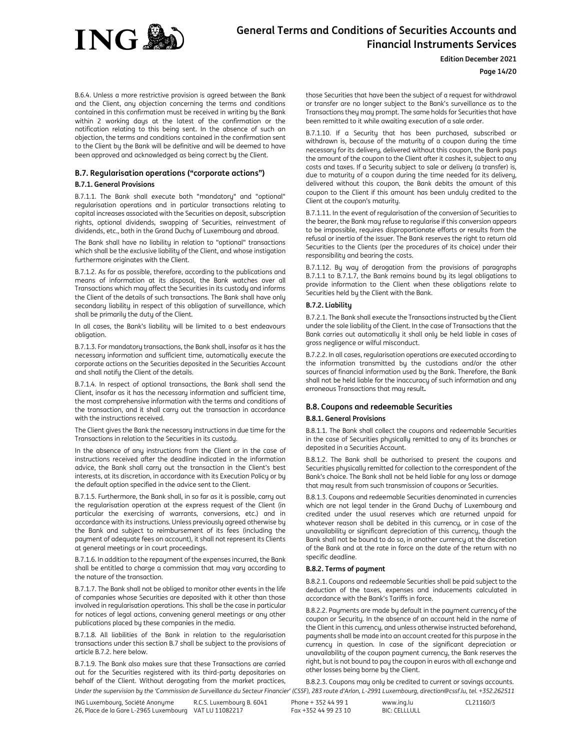

# **Edition December 2021**

**Page 14/20**

B.6.4. Unless a more restrictive provision is agreed between the Bank and the Client, any objection concerning the terms and conditions contained in this confirmation must be received in writing by the Bank within 2 working days at the latest of the confirmation or the notification relating to this being sent. In the absence of such an objection, the terms and conditions contained in the confirmation sent to the Client by the Bank will be definitive and will be deemed to have been approved and acknowledged as being correct by the Client.

# **B.7. Regularisation operations ("corporate actions") B.7.1. General Provisions**

B.7.1.1. The Bank shall execute both "mandatory" and "optional" regularisation operations and in particular transactions relating to capital increases associated with the Securities on deposit, subscription rights, optional dividends, swapping of Securities, reinvestment of dividends, etc., both in the Grand Duchy of Luxembourg and abroad.

The Bank shall have no liability in relation to "optional" transactions which shall be the exclusive liability of the Client, and whose instigation furthermore originates with the Client.

B.7.1.2. As far as possible, therefore, according to the publications and means of information at its disposal, the Bank watches over all Transactions which may affect the Securities in its custody and informs the Client of the details of such transactions. The Bank shall have only secondary liability in respect of this obligation of surveillance, which shall be primarily the duty of the Client.

In all cases, the Bank's liability will be limited to a best endeavours obligation.

B.7.1.3. For mandatory transactions, the Bank shall, insofar as it has the necessary information and sufficient time, automatically execute the corporate actions on the Securities deposited in the Securities Account and shall notify the Client of the details.

B.7.1.4. In respect of optional transactions, the Bank shall send the Client, insofar as it has the necessary information and sufficient time, the most comprehensive information with the terms and conditions of the transaction, and it shall carry out the transaction in accordance with the instructions received.

The Client gives the Bank the necessary instructions in due time for the Transactions in relation to the Securities in its custody.

In the absence of any instructions from the Client or in the case of instructions received after the deadline indicated in the information advice, the Bank shall carry out the transaction in the Client's best interests, at its discretion, in accordance with its Execution Policy or by the default option specified in the advice sent to the Client.

B.7.1.5. Furthermore, the Bank shall, in so far as it is possible, carry out the regularisation operation at the express request of the Client (in particular the exercising of warrants, conversions, etc.) and in accordance with its instructions. Unless previously agreed otherwise by the Bank and subject to reimbursement of its fees (including the payment of adequate fees on account), it shall not represent its Clients at general meetings or in court proceedings.

B.7.1.6. In addition to the repayment of the expenses incurred, the Bank shall be entitled to charge a commission that may vary according to the nature of the transaction.

B.7.1.7. The Bank shall not be obliged to monitor other events in the life of companies whose Securities are deposited with it other than those involved in regularisation operations. This shall be the case in particular for notices of legal actions, convening general meetings or any other publications placed by these companies in the media.

B.7.1.8. All liabilities of the Bank in relation to the regularisation transactions under this section B.7 shall be subject to the provisions of article B.7.2. here below.

B.7.1.9. The Bank also makes sure that these Transactions are carried out for the Securities registered with its third-party depositaries on behalf of the Client. Without derogating from the market practices, those Securities that have been the subject of a request for withdrawal or transfer are no longer subject to the Bank's surveillance as to the Transactions they may prompt. The same holds for Securities that have been remitted to it while awaiting execution of a sale order.

B.7.1.10. If a Security that has been purchased, subscribed or withdrawn is, because of the maturity of a coupon during the time necessary for its delivery, delivered without this coupon, the Bank pays the amount of the coupon to the Client after it cashes it, subject to any costs and taxes. If a Security subject to sale or delivery (a transfer) is, due to maturity of a coupon during the time needed for its delivery, delivered without this coupon, the Bank debits the amount of this coupon to the Client if this amount has been unduly credited to the Client at the coupon's maturity.

B.7.1.11. In the event of regularisation of the conversion of Securities to the bearer, the Bank may refuse to regularise if this conversion appears to be impossible, requires disproportionate efforts or results from the refusal or inertia of the issuer. The Bank reserves the right to return old Securities to the Clients (per the procedures of its choice) under their responsibility and bearing the costs.

B.7.1.12. By way of derogation from the provisions of paragraphs B.7.1.1 to B.7.1.7, the Bank remains bound by its legal obligations to provide information to the Client when these obligations relate to Securities held by the Client with the Bank.

# **B.7.2. Liability**

B.7.2.1. The Bank shall execute the Transactions instructed by the Client under the sole liability of the Client. In the case of Transactions that the Bank carries out automatically it shall only be held liable in cases of gross negligence or wilful misconduct.

B.7.2.2. In all cases, regularisation operations are executed according to the information transmitted by the custodians and/or the other sources of financial information used by the Bank. Therefore, the Bank shall not be held liable for the inaccuracy of such information and any erroneous Transactions that may result**.** 

# **B.8. Coupons and redeemable Securities B.8.1. General Provisions**

B.8.1.1. The Bank shall collect the coupons and redeemable Securities in the case of Securities physically remitted to any of its branches or deposited in a Securities Account.

B.8.1.2. The Bank shall be authorised to present the coupons and Securities physically remitted for collection to the correspondent of the Bank's choice. The Bank shall not be held liable for any loss or damage that may result from such transmission of coupons or Securities.

B.8.1.3. Coupons and redeemable Securities denominated in currencies which are not legal tender in the Grand Duchy of Luxembourg and credited under the usual reserves which are returned unpaid for whatever reason shall be debited in this currency, or in case of the unavailability or significant depreciation of this currency, though the Bank shall not be bound to do so, in another currency at the discretion of the Bank and at the rate in force on the date of the return with no specific deadline.

# **B.8.2. Terms of payment**

B.8.2.1. Coupons and redeemable Securities shall be paid subject to the deduction of the taxes, expenses and inducements calculated in accordance with the Bank's Tariffs in force.

B.8.2.2. Payments are made by default in the payment currency of the coupon or Security. In the absence of an account held in the name of the Client in this currency, and unless otherwise instructed beforehand, payments shall be made into an account created for this purpose in the currency in question. In case of the significant depreciation or unavailability of the coupon payment currency, the Bank reserves the right, but is not bound to pay the coupon in euros with all exchange and other losses being borne by the Client.

*Under the supervision by the 'Commission de Surveillance du Secteur Financier' (CSSF), 283 route d'Arlon, L-2991 Luxembourg, direction@cssf.lu, tel. +352.262511* B.8.2.3. Coupons may only be credited to current or savings accounts.

ING Luxembourg, Société Anonyme 26, Place de la Gare L-2965 Luxembourg VAT LU 11082217 R.C.S. Luxembourg B. 6041 Phone + 352 44 99 1 Fax +352 44 99 23 10

www.ing.lu BIC: CELLLULL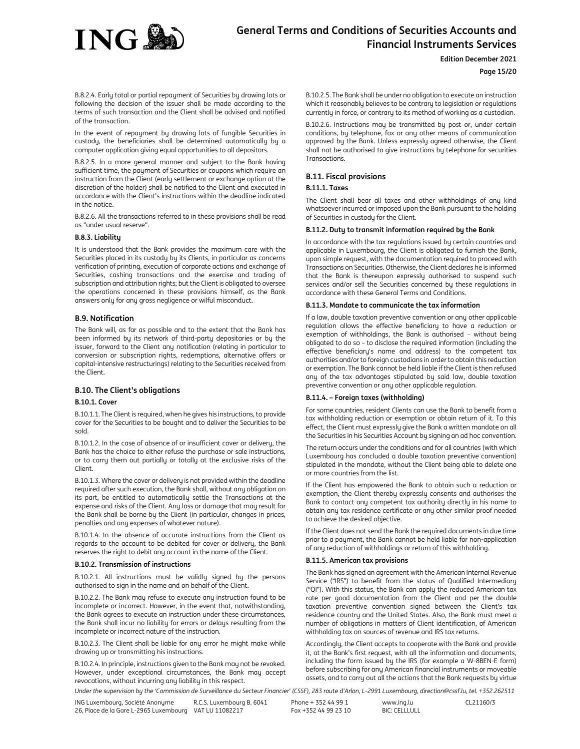

# **Edition December 2021**

# **Page 15/20**

B.8.2.4. Early total or partial repayment of Securities by drawing lots or following the decision of the issuer shall be made according to the terms of such transaction and the Client shall be advised and notified of the transaction.

In the event of repayment by drawing lots of fungible Securities in custody, the beneficiaries shall be determined automatically by a computer application giving equal opportunities to all depositors.

B.8.2.5. In a more general manner and subject to the Bank having sufficient time, the payment of Securities or coupons which require an instruction from the Client (early settlement or exchange option at the discretion of the holder) shall be notified to the Client and executed in accordance with the Client's instructions within the deadline indicated in the notice.

B.8.2.6. All the transactions referred to in these provisions shall be read as "under usual reserve".

#### **B.8.3. Liability**

It is understood that the Bank provides the maximum care with the Securities placed in its custody by its Clients, in particular as concerns verification of printing, execution of corporate actions and exchange of Securities, cashing transactions and the exercise and trading of subscription and attribution rights; but the Client is obligated to oversee the operations concerned in these provisions himself, as the Bank answers only for any gross negligence or wilful misconduct.

### **B.9. Notification**

The Bank will, as far as possible and to the extent that the Bank has been informed by its network of third-party depositaries or by the issuer, forward to the Client any notification (relating in particular to conversion or subscription rights, redemptions, alternative offers or capital-intensive restructurings) relating to the Securities received from the Client.

# **B.10. The Client's obligations**

### **B.10.1. Cover**

B.10.1.1. The Client is required, when he gives his instructions, to provide cover for the Securities to be bought and to deliver the Securities to be sold.

B.10.1.2. In the case of absence of or insufficient cover or delivery, the Bank has the choice to either refuse the purchase or sale instructions, or to carry them out partially or totally at the exclusive risks of the Client.

B.10.1.3. Where the cover or delivery is not provided within the deadline required after such execution, the Bank shall, without any obligation on its part, be entitled to automatically settle the Transactions at the expense and risks of the Client. Any loss or damage that may result for the Bank shall be borne by the Client (in particular, changes in prices, penalties and any expenses of whatever nature).

B.10.1.4. In the absence of accurate instructions from the Client as regards to the account to be debited for cover or delivery, the Bank reserves the right to debit any account in the name of the Client.

#### **B.10.2. Transmission of instructions**

B.10.2.1. All instructions must be validly signed by the persons authorised to sign in the name and on behalf of the Client.

B.10.2.2. The Bank may refuse to execute any instruction found to be incomplete or incorrect. However, in the event that, notwithstanding, the Bank agrees to execute an instruction under these circumstances, the Bank shall incur no liability for errors or delays resulting from the incomplete or incorrect nature of the instruction.

B.10.2.3. The Client shall be liable for any error he might make while drawing up or transmitting his instructions.

B.10.2.4. In principle, instructions given to the Bank may not be revoked. However, under exceptional circumstances, the Bank may accept revocations, without incurring any liability in this respect.

B.10.2.5. The Bank shall be under no obligation to execute an instruction which it reasonably believes to be contrary to legislation or regulations currently in force, or contrary to its method of working as a custodian.

B.10.2.6. Instructions may be transmitted by post or, under certain conditions, by telephone, fax or any other means of communication approved by the Bank. Unless expressly agreed otherwise, the Client shall not be authorised to give instructions by telephone for securities Transactions.

# **B.11. Fiscal provisions**

# **B.11.1. Taxes**

The Client shall bear all taxes and other withholdings of any kind whatsoever incurred or imposed upon the Bank pursuant to the holding of Securities in custody for the Client.

# **B.11.2. Duty to transmit information required by the Bank**

In accordance with the tax regulations issued by certain countries and applicable in Luxembourg, the Client is obligated to furnish the Bank, upon simple request, with the documentation required to proceed with Transactions on Securities. Otherwise, the Client declares he is informed that the Bank is thereupon expressly authorised to suspend such services and/or sell the Securities concerned by these regulations in accordance with these General Terms and Conditions.

### **B.11.3. Mandate to communicate the tax information**

If a law, double taxation preventive convention or any other applicable regulation allows the effective beneficiary to have a reduction or exemption of withholdings, the Bank is authorised – without being obligated to do so – to disclose the required information (including the effective beneficiary's name and address) to the competent tax authorities and/or to foreign custodians in order to obtain this reduction or exemption. The Bank cannot be held liable if the Client is then refused any of the tax advantages stipulated by said law, double taxation preventive convention or any other applicable regulation.

# **B.11.4. – Foreign taxes (withholding)**

For some countries, resident Clients can use the Bank to benefit from a tax withholding reduction or exemption or obtain return of it. To this effect, the Client must expressly give the Bank a written mandate on all the Securities in his Securities Account by signing an ad hoc convention.

The return occurs under the conditions and for all countries (with which Luxembourg has concluded a double taxation preventive convention) stipulated in the mandate, without the Client being able to delete one or more countries from the list.

If the Client has empowered the Bank to obtain such a reduction or exemption, the Client thereby expressly consents and authorises the Bank to contact any competent tax authority directly in his name to obtain any tax residence certificate or any other similar proof needed to achieve the desired objective.

If the Client does not send the Bank the required documents in due time prior to a payment, the Bank cannot be held liable for non-application of any reduction of withholdings or return of this withholding.

#### **B.11.5. American tax provisions**

The Bank has signed an agreement with the American Internal Revenue Service ("IRS") to benefit from the status of Qualified Intermediary ("QI"). With this status, the Bank can apply the reduced American tax rate per good documentation from the Client and per the double taxation preventive convention signed between the Client's tax residence country and the United States. Also, the Bank must meet a number of obligations in matters of Client identification, of American withholding tax on sources of revenue and IRS tax returns.

Accordingly, the Client accepts to cooperate with the Bank and provide it, at the Bank's first request, with all the information and documents, including the form issued by the IRS (for example a W-8BEN-E form) before subscribing for any American financial instruments or moveable assets, and to carry out all the actions that the Bank requests by virtue

*Under the supervision by the 'Commission de Surveillance du Secteur Financier' (CSSF), 283 route d'Arlon, L-2991 Luxembourg, direction@cssf.lu, tel. +352.262511*

ING Luxembourg, Société Anonyme 26, Place de la Gare L-2965 Luxembourg VAT LU 11082217 R.C.S. Luxembourg B. 6041 Phone + 352 44 99 1 Fax +352 44 99 23 10

www.ing.lu  $BIC: CFI$  $I$  $I$  $I$  $II$  $I$  $I$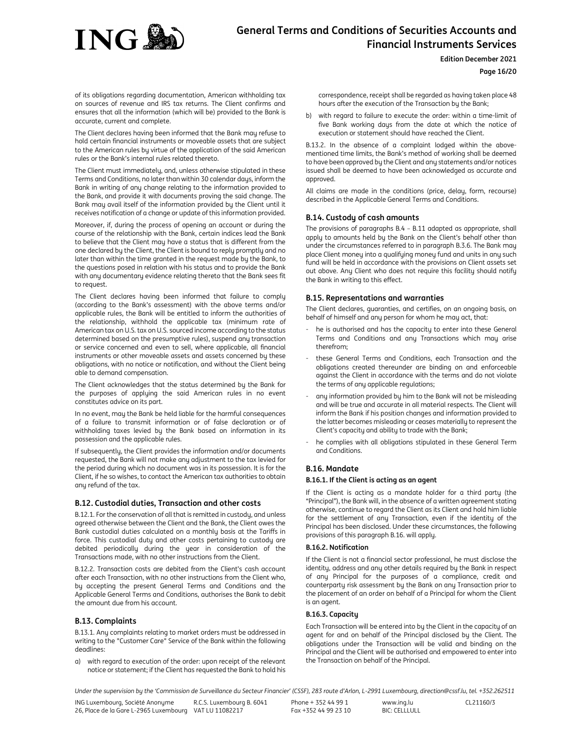

**Edition December 2021**

### **Page 16/20**

of its obligations regarding documentation, American withholding tax on sources of revenue and IRS tax returns. The Client confirms and ensures that all the information (which will be) provided to the Bank is accurate, current and complete.

The Client declares having been informed that the Bank may refuse to hold certain financial instruments or moveable assets that are subject to the American rules by virtue of the application of the said American rules or the Bank's internal rules related thereto.

The Client must immediately, and, unless otherwise stipulated in these Terms and Conditions, no later than within 30 calendar days, inform the Bank in writing of any change relating to the information provided to the Bank, and provide it with documents proving the said change. The Bank may avail itself of the information provided by the Client until it receives notification of a change or update of this information provided.

Moreover, if, during the process of opening an account or during the course of the relationship with the Bank, certain indices lead the Bank to believe that the Client may have a status that is different from the one declared by the Client, the Client is bound to reply promptly and no later than within the time granted in the request made by the Bank, to the questions posed in relation with his status and to provide the Bank with any documentary evidence relating thereto that the Bank sees fit to request.

The Client declares having been informed that failure to comply (according to the Bank's assessment) with the above terms and/or applicable rules, the Bank will be entitled to inform the authorities of the relationship, withhold the applicable tax (minimum rate of American tax on U.S. tax on U.S. sourced income according to the status determined based on the presumptive rules), suspend any transaction or service concerned and even to sell, where applicable, all financial instruments or other moveable assets and assets concerned by these obligations, with no notice or notification, and without the Client being able to demand compensation.

The Client acknowledges that the status determined by the Bank for the purposes of applying the said American rules in no event constitutes advice on its part.

In no event, may the Bank be held liable for the harmful consequences of a failure to transmit information or of false declaration or of withholding taxes levied by the Bank based on information in its possession and the applicable rules.

If subsequently, the Client provides the information and/or documents requested, the Bank will not make any adjustment to the tax levied for the period during which no document was in its possession. It is for the Client, if he so wishes, to contact the American tax authorities to obtain any refund of the tax.

# **B.12. Custodial duties, Transaction and other costs**

B.12.1. For the conservation of all that is remitted in custody, and unless agreed otherwise between the Client and the Bank, the Client owes the Bank custodial duties calculated on a monthly basis at the Tariffs in force. This custodial duty and other costs pertaining to custody are debited periodically during the year in consideration of the Transactions made, with no other instructions from the Client.

B.12.2. Transaction costs are debited from the Client's cash account after each Transaction, with no other instructions from the Client who, by accepting the present General Terms and Conditions and the Applicable General Terms and Conditions, authorises the Bank to debit the amount due from his account.

# **B.13. Complaints**

B.13.1. Any complaints relating to market orders must be addressed in writing to the "Customer Care" Service of the Bank within the following deadlines:

a) with regard to execution of the order: upon receipt of the relevant notice or statement; if the Client has requested the Bank to hold his correspondence, receipt shall be regarded as having taken place 48 hours after the execution of the Transaction by the Bank;

b) with regard to failure to execute the order: within a time-limit of five Bank working days from the date at which the notice of execution or statement should have reached the Client.

B.13.2. In the absence of a complaint lodged within the abovementioned time limits, the Bank's method of working shall be deemed to have been approved by the Client and any statements and/or notices issued shall be deemed to have been acknowledged as accurate and approved.

All claims are made in the conditions (price, delay, form, recourse) described in the Applicable General Terms and Conditions.

# **B.14. Custody of cash amounts**

The provisions of paragraphs B.4 – B.11 adapted as appropriate, shall apply to amounts held by the Bank on the Client's behalf other than under the circumstances referred to in paragraph B.3.6. The Bank may place Client money into a qualifying money fund and units in any such fund will be held in accordance with the provisions on Client assets set out above. Any Client who does not require this facility should notify the Bank in writing to this effect.

# **B.15. Representations and warranties**

The Client declares, guaranties, and certifies, on an ongoing basis, on behalf of himself and any person for whom he may act, that:

- he is authorised and has the capacity to enter into these General Terms and Conditions and any Transactions which may arise therefrom;
- these General Terms and Conditions, each Transaction and the obligations created thereunder are binding on and enforceable against the Client in accordance with the terms and do not violate the terms of any applicable regulations;
- any information provided by him to the Bank will not be misleading and will be true and accurate in all material respects. The Client will inform the Bank if his position changes and information provided to the latter becomes misleading or ceases materially to represent the Client's capacity and ability to trade with the Bank;
- he complies with all obligations stipulated in these General Term and Conditions.

# **B.16. Mandate**

### **B.16.1. If the Client is acting as an agent**

If the Client is acting as a mandate holder for a third party (the "Principal"), the Bank will, in the absence of a written agreement stating otherwise, continue to regard the Client as its Client and hold him liable for the settlement of any Transaction, even if the identity of the Principal has been disclosed. Under these circumstances, the following provisions of this paragraph B.16. will apply.

# **B.16.2. Notification**

If the Client is not a financial sector professional, he must disclose the identity, address and any other details required by the Bank in respect of any Principal for the purposes of a compliance, credit and counterparty risk assessment by the Bank on any Transaction prior to the placement of an order on behalf of a Principal for whom the Client is an agent.

# **B.16.3. Capacity**

Each Transaction will be entered into by the Client in the capacity of an agent for and on behalf of the Principal disclosed by the Client. The obligations under the Transaction will be valid and binding on the Principal and the Client will be authorised and empowered to enter into the Transaction on behalf of the Principal.

*Under the supervision by the 'Commission de Surveillance du Secteur Financier' (CSSF), 283 route d'Arlon, L-2991 Luxembourg, direction@cssf.lu, tel. +352.262511*

ING Luxembourg, Société Anonyme 26, Place de la Gare L-2965 Luxembourg VAT LU 11082217 R.C.S. Luxembourg B. 6041

Phone + 352 44 99 1 Fax +352 44 99 23 10

www.ing.lu BIC: CELLLULL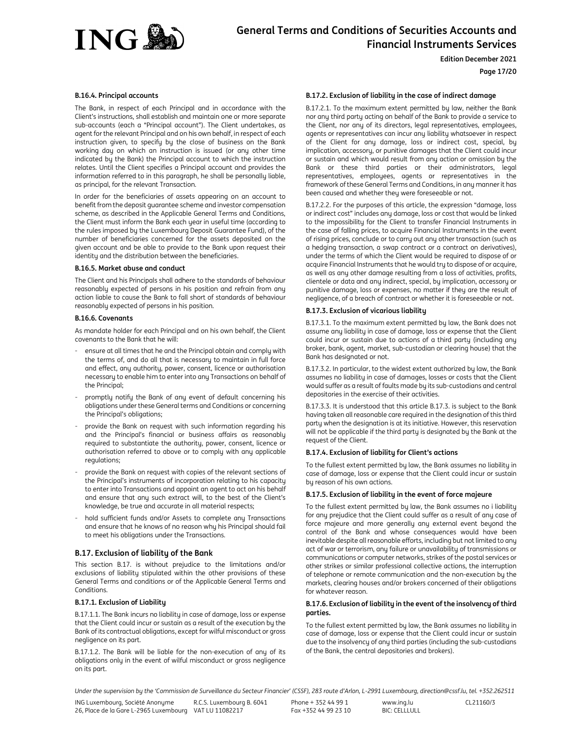

# **Page 17/20**

#### **B.16.4. Principal accounts**

The Bank, in respect of each Principal and in accordance with the Client's instructions, shall establish and maintain one or more separate sub-accounts (each a "Principal account"). The Client undertakes, as agent for the relevant Principal and on his own behalf, in respect of each instruction given, to specify by the close of business on the Bank working day on which an instruction is issued (or any other time indicated by the Bank) the Principal account to which the instruction relates. Until the Client specifies a Principal account and provides the information referred to in this paragraph, he shall be personally liable, as principal, for the relevant Transaction.

In order for the beneficiaries of assets appearing on an account to benefit from the deposit guarantee scheme and investor compensation scheme, as described in the Applicable General Terms and Conditions, the Client must inform the Bank each year in useful time (according to the rules imposed by the Luxembourg Deposit Guarantee Fund), of the number of beneficiaries concerned for the assets deposited on the given account and be able to provide to the Bank upon request their identity and the distribution between the beneficiaries.

#### **B.16.5. Market abuse and conduct**

The Client and his Principals shall adhere to the standards of behaviour reasonably expected of persons in his position and refrain from any action liable to cause the Bank to fall short of standards of behaviour reasonably expected of persons in his position.

# **B.16.6. Covenants**

As mandate holder for each Principal and on his own behalf, the Client covenants to the Bank that he will:

- ensure at all times that he and the Principal obtain and comply with the terms of, and do all that is necessary to maintain in full force and effect, any authority, power, consent, licence or authorisation necessary to enable him to enter into any Transactions on behalf of the Principal;
- promptly notify the Bank of any event of default concerning his obligations under these General terms and Conditions or concerning the Principal's obligations;
- provide the Bank on request with such information regarding his and the Principal's financial or business affairs as reasonably required to substantiate the authority, power, consent, licence or authorisation referred to above or to comply with any applicable regulations;
- provide the Bank on request with copies of the relevant sections of the Principal's instruments of incorporation relating to his capacity to enter into Transactions and appoint an agent to act on his behalf and ensure that any such extract will, to the best of the Client's knowledge, be true and accurate in all material respects;
- hold sufficient funds and/or Assets to complete any Transactions and ensure that he knows of no reason why his Principal should fail to meet his obligations under the Transactions.

### **B.17. Exclusion of liability of the Bank**

This section B.17. is without prejudice to the limitations and/or exclusions of liability stipulated within the other provisions of these General Terms and conditions or of the Applicable General Terms and Conditions.

### **B.17.1. Exclusion of Liability**

B.17.1.1. The Bank incurs no liability in case of damage, loss or expense that the Client could incur or sustain as a result of the execution by the Bank of its contractual obligations, except for wilful misconduct or gross negligence on its part.

B.17.1.2. The Bank will be liable for the non-execution of any of its obligations only in the event of wilful misconduct or gross negligence on its part.

# **B.17.2. Exclusion of liability in the case of indirect damage**

B.17.2.1. To the maximum extent permitted by law, neither the Bank nor any third party acting on behalf of the Bank to provide a service to the Client, nor any of its directors, legal representatives, employees, agents or representatives can incur any liability whatsoever in respect of the Client for any damage, loss or indirect cost, special, by implication, accessory, or punitive damages that the Client could incur or sustain and which would result from any action or omission by the Bank or these third parties or their administrators, legal representatives, employees, agents or representatives in the framework of these General Terms and Conditions, in any manner it has been caused and whether they were foreseeable or not.

B.17.2.2. For the purposes of this article, the expression "damage, loss or indirect cost" includes any damage, loss or cost that would be linked to the impossibility for the Client to transfer Financial Instruments in the case of falling prices, to acquire Financial Instruments in the event of rising prices, conclude or to carry out any other transaction (such as a hedging transaction, a swap contract or a contract on derivatives), under the terms of which the Client would be required to dispose of or acquire Financial Instruments that he would try to dispose of or acquire, as well as any other damage resulting from a loss of activities, profits, clientele or data and any indirect, special, by implication, accessory or punitive damage, loss or expenses, no matter if they are the result of negligence, of a breach of contract or whether it is foreseeable or not.

#### **B.17.3. Exclusion of vicarious liability**

B.17.3.1. To the maximum extent permitted by law, the Bank does not assume any liability in case of damage, loss or expense that the Client could incur or sustain due to actions of a third party (including any broker, bank, agent, market, sub-custodian or clearing house) that the Bank has designated or not.

B.17.3.2. In particular, to the widest extent authorized by law, the Bank assumes no liability in case of damages, losses or costs that the Client would suffer as a result of faults made by its sub-custodians and central depositories in the exercise of their activities.

B.17.3.3. It is understood that this article B.17.3. is subject to the Bank having taken all reasonable care required in the designation of this third party when the designation is at its initiative. However, this reservation will not be applicable if the third party is designated by the Bank at the request of the Client.

# **B.17.4. Exclusion of liability for Client's actions**

To the fullest extent permitted by law, the Bank assumes no liability in case of damage, loss or expense that the Client could incur or sustain by reason of his own actions.

#### **B.17.5. Exclusion of liability in the event of force majeure**

To the fullest extent permitted by law, the Bank assumes no i liability for any prejudice that the Client could suffer as a result of any case of force majeure and more generally any external event beyond the control of the Bank and whose consequences would have been inevitable despite all reasonable efforts, including but not limited to any act of war or terrorism, any failure or unavailability of transmissions or communications or computer networks, strikes of the postal services or other strikes or similar professional collective actions, the interruption of telephone or remote communication and the non-execution by the markets, clearing houses and/or brokers concerned of their obligations for whatever reason.

# **B.17.6. Exclusion of liability in the event of the insolvency of third parties.**

To the fullest extent permitted by law, the Bank assumes no liability in case of damage, loss or expense that the Client could incur or sustain due to the insolvency of any third parties (including the sub-custodians of the Bank, the central depositories and brokers).

*Under the supervision by the 'Commission de Surveillance du Secteur Financier' (CSSF), 283 route d'Arlon, L-2991 Luxembourg, direction@cssf.lu, tel. +352.262511*

ING Luxembourg, Société Anonyme 26, Place de la Gare L-2965 Luxembourg VAT LU 11082217 R.C.S. Luxembourg B. 6041

Phone + 352 44 99 1 Fax +352 44 99 23 10 www.ing.lu  $BIC: CFI$  $I$  $I$  $I$  $II$  $I$  $I$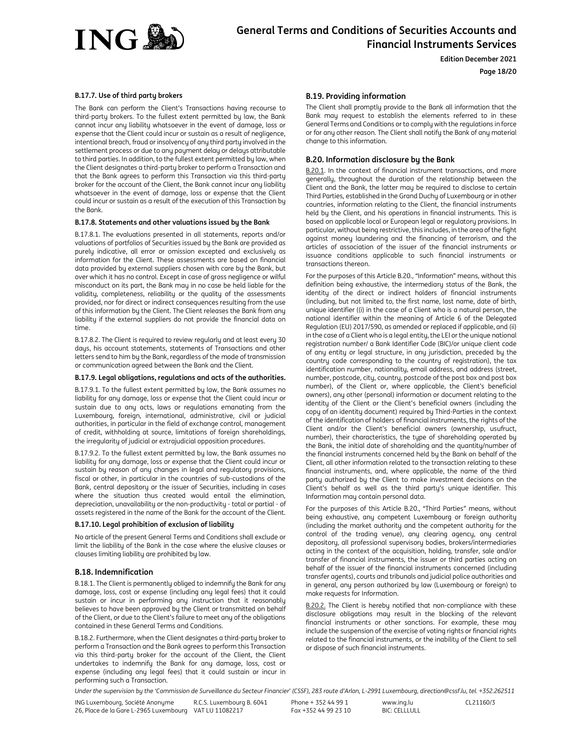

**Page 18/20**

# **B.17.7. Use of third party brokers**

The Bank can perform the Client's Transactions having recourse to third-party brokers. To the fullest extent permitted by law, the Bank cannot incur any liability whatsoever in the event of damage, loss or expense that the Client could incur or sustain as a result of negligence, intentional breach, fraud or insolvency of any third party involved in the settlement process or due to any payment delay or delays attributable to third parties. In addition, to the fullest extent permitted by law, when the Client designates a third-party broker to perform a Transaction and that the Bank agrees to perform this Transaction via this third-party broker for the account of the Client, the Bank cannot incur any liability whatsoever in the event of damage, loss or expense that the Client could incur or sustain as a result of the execution of this Transaction by the Bank.

# **B.17.8. Statements and other valuations issued by the Bank**

B.17.8.1. The evaluations presented in all statements, reports and/or valuations of portfolios of Securities issued by the Bank are provided as purely indicative, all error or omission excepted and exclusively as information for the Client. These assessments are based on financial data provided by external suppliers chosen with care by the Bank, but over which it has no control. Except in case of gross negligence or wilful misconduct on its part, the Bank may in no case be held liable for the validity, completeness, reliability or the quality of the assessments provided, nor for direct or indirect consequences resulting from the use of this information by the Client. The Client releases the Bank from any liability if the external suppliers do not provide the financial data on time.

B.17.8.2. The Client is required to review regularly and at least every 30 days, his account statements, statements of Transactions and other letters send to him by the Bank, regardless of the mode of transmission or communication agreed between the Bank and the Client.

# **B.17.9. Legal obligations, regulations and acts of the authorities.**

B.17.9.1. To the fullest extent permitted by law, the Bank assumes no liability for any damage, loss or expense that the Client could incur or sustain due to any acts, laws or regulations emanating from the Luxembourg, foreign, international, administrative, civil or judicial authorities, in particular in the field of exchange control, management of credit, withholding at source, limitations of foreign shareholdings, the irregularity of judicial or extrajudicial opposition procedures.

B.17.9.2. To the fullest extent permitted by law, the Bank assumes no liability for any damage, loss or expense that the Client could incur or sustain by reason of any changes in legal and regulatory provisions, fiscal or other, in particular in the countries of sub-custodians of the Bank, central depository or the issuer of Securities, including in cases where the situation thus created would entail the elimination, depreciation, unavailability or the non-productivity - total or partial - of assets registered in the name of the Bank for the account of the Client.

#### **B.17.10. Legal prohibition of exclusion of liability**

No article of the present General Terms and Conditions shall exclude or limit the liability of the Bank in the case where the elusive clauses or clauses limiting liability are prohibited by law.

### **B.18. Indemnification**

B.18.1. The Client is permanently obliged to indemnify the Bank for any damage, loss, cost or expense (including any legal fees) that it could sustain or incur in performing any instruction that it reasonably believes to have been approved by the Client or transmitted on behalf of the Client, or due to the Client's failure to meet any of the obligations contained in these General Terms and Conditions.

B.18.2. Furthermore, when the Client designates a third-party broker to perform a Transaction and the Bank agrees to perform this Transaction via this third-party broker for the account of the Client, the Client undertakes to indemnify the Bank for any damage, loss, cost or expense (including any legal fees) that it could sustain or incur in performing such a Transaction.

# **B.19. Providing information**

The Client shall promptly provide to the Bank all information that the Bank may request to establish the elements referred to in these General Terms and Conditions or to comply with the regulations in force or for any other reason. The Client shall notify the Bank of any material change to this information.

# **B.20. Information disclosure by the Bank**

B.20.1. In the context of financial instrument transactions, and more generally, throughout the duration of the relationship between the Client and the Bank, the latter may be required to disclose to certain Third Parties, established in the Grand Duchy of Luxembourg or in other countries, information relating to the Client, the financial instruments held by the Client, and his operations in financial instruments. This is based on applicable local or European legal or regulatory provisions. In particular, without being restrictive, this includes, in the area of the fight against money laundering and the financing of terrorism, and the articles of association of the issuer of the financial instruments or issuance conditions applicable to such financial instruments or transactions thereon.

For the purposes of this Article B.20., "Information" means, without this definition being exhaustive, the intermediary status of the Bank, the identity of the direct or indirect holders of financial instruments (including, but not limited to, the first name, last name, date of birth, unique identifier ((i) in the case of a Client who is a natural person, the national identifier within the meaning of Article 6 of the Delegated Regulation (EU) 2017/590, as amended or replaced if applicable, and (ii) in the case of a Client who is a legal entity, the LEI or the unique national registration number/ a Bank Identifier Code (BIC)/or unique client code of any entity or legal structure, in any jurisdiction, preceded by the country code corresponding to the country of registration), the tax identification number, nationality, email address, and address (street, number, postcode, city, country, postcode of the post box and post box number), of the Client or, where applicable, the Client's beneficial owners), any other (personal) information or document relating to the identity of the Client or the Client's beneficial owners (including the copy of an identity document) required by Third-Parties in the context of the identification of holders of financial instruments, the rights of the Client and/or the Client's beneficial owners (ownership, usufruct, number), their characteristics, the type of shareholding operated by the Bank, the initial date of shareholding and the quantity/number of the financial instruments concerned held by the Bank on behalf of the Client, all other information related to the transaction relating to these financial instruments, and, where applicable, the name of the third party authorized by the Client to make investment decisions on the Client's behalf as well as the third party's unique identifier. This Information may contain personal data.

For the purposes of this Article B.20., "Third Parties" means, without being exhaustive, any competent Luxembourg or foreign authority (including the market authority and the competent authority for the control of the trading venue), any clearing agency, any central depository, all professional supervisory bodies, brokers/intermediaries acting in the context of the acquisition, holding, transfer, sale and/or transfer of financial instruments, the issuer or third parties acting on behalf of the issuer of the financial instruments concerned (including transfer agents), courts and tribunals and judicial police authorities and in general, any person authorized by law (Luxembourg or foreign) to make requests for Information.

B.20.2. The Client is hereby notified that non-compliance with these disclosure obligations may result in the blocking of the relevant financial instruments or other sanctions. For example, these may include the suspension of the exercise of voting rights or financial rights related to the financial instruments, or the inability of the Client to sell or dispose of such financial instruments.

*Under the supervision by the 'Commission de Surveillance du Secteur Financier' (CSSF), 283 route d'Arlon, L-2991 Luxembourg, direction@cssf.lu, tel. +352.262511*

ING Luxembourg, Société Anonyme 26, Place de la Gare L-2965 Luxembourg VAT LU 11082217 R.C.S. Luxembourg B. 6041

Phone + 352 44 99 1 Fax +352 44 99 23 10 www.ing.lu  $BIC: CFI$  $I$  $I$  $I$  $II$  $I$  $I$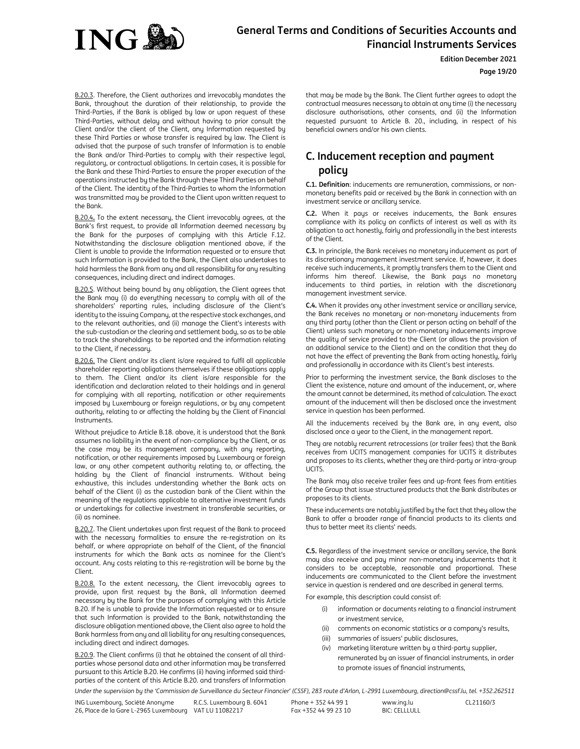

**Edition December 2021**

# **Page 19/20**

B.20.3. Therefore, the Client authorizes and irrevocably mandates the Bank, throughout the duration of their relationship, to provide the Third-Parties, if the Bank is obliged by law or upon request of these Third-Parties, without delay and without having to prior consult the Client and/or the client of the Client, any Information requested by these Third Parties or whose transfer is required by law. The Client is advised that the purpose of such transfer of Information is to enable the Bank and/or Third-Parties to comply with their respective legal, regulatory, or contractual obligations. In certain cases, it is possible for the Bank and these Third-Parties to ensure the proper execution of the operations instructed by the Bank through these Third Parties on behalf of the Client. The identity of the Third-Parties to whom the Information was transmitted may be provided to the Client upon written request to the Bank.

B.20.4**.** To the extent necessary, the Client irrevocably agrees, at the Bank's first request, to provide all Information deemed necessary by the Bank for the purposes of complying with this Article F.12. Notwithstanding the disclosure obligation mentioned above, if the Client is unable to provide the Information requested or to ensure that such Information is provided to the Bank, the Client also undertakes to hold harmless the Bank from any and all responsibility for any resulting consequences, including direct and indirect damages.

B.20.5. Without being bound by any obligation, the Client agrees that the Bank may (i) do everything necessary to comply with all of the shareholders' reporting rules, including disclosure of the Client's identity to the issuing Company, at the respective stock exchanges, and to the relevant authorities, and (ii) manage the Client's interests with the sub-custodian or the clearing and settlement body, so as to be able to track the shareholdings to be reported and the information relating to the Client, if necessary.

B.20.6. The Client and/or its client is/are required to fulfil all applicable shareholder reporting obligations themselves if these obligations apply to them. The Client and/or its client is/are responsible for the identification and declaration related to their holdings and in general for complying with all reporting, notification or other requirements imposed by Luxembourg or foreign regulations, or by any competent authority, relating to or affecting the holding by the Client of Financial Instruments.

Without prejudice to Article B.18. above, it is understood that the Bank assumes no liability in the event of non-compliance by the Client, or as the case may be its management company, with any reporting, notification, or other requirements imposed by Luxembourg or foreign law, or any other competent authority relating to, or affecting, the holding by the Client of financial instruments. Without being exhaustive, this includes understanding whether the Bank acts on behalf of the Client (i) as the custodian bank of the Client within the meaning of the regulations applicable to alternative investment funds or undertakings for collective investment in transferable securities, or (ii) as nominee.

B.20.7. The Client undertakes upon first request of the Bank to proceed with the necessary formalities to ensure the re-registration on its behalf, or where appropriate on behalf of the Client, of the financial instruments for which the Bank acts as nominee for the Client's account. Any costs relating to this re-registration will be borne by the Client.

B.20.8. To the extent necessary, the Client irrevocably agrees to provide, upon first request by the Bank, all Information deemed necessary by the Bank for the purposes of complying with this Article B.20. If he is unable to provide the Information requested or to ensure that such Information is provided to the Bank, notwithstanding the disclosure obligation mentioned above, the Client also agree to hold the Bank harmless from any and all liability for any resulting consequences, including direct and indirect damages.

B.20.9. The Client confirms (i) that he obtained the consent of all thirdparties whose personal data and other information may be transferred pursuant to this Article B.20. He confirms (ii) having informed said thirdparties of the content of this Article B.20. and transfers of Information that may be made by the Bank. The Client further agrees to adopt the contractual measures necessary to obtain at any time (i) the necessary disclosure authorisations, other consents, and (ii) the Information requested pursuant to Article B. 20., including, in respect of his beneficial owners and/or his own clients.

# **C. Inducement reception and payment policy**

**C.1. Definition**: inducements are remuneration, commissions, or nonmonetary benefits paid or received by the Bank in connection with an investment service or ancillary service.

**C.2.** When it pays or receives inducements, the Bank ensures compliance with its policy on conflicts of interest as well as with its obligation to act honestly, fairly and professionally in the best interests of the Client.

**C.3.** In principle, the Bank receives no monetary inducement as part of its discretionary management investment service. If, however, it does receive such inducements, it promptly transfers them to the Client and informs him thereof. Likewise, the Bank pays no monetary inducements to third parties, in relation with the discretionary management investment service.

**C.4.** When it provides any other investment service or ancillary service, the Bank receives no monetary or non-monetary inducements from any third party (other than the Client or person acting on behalf of the Client) unless such monetary or non-monetary inducements improve the quality of service provided to the Client (or allows the provision of an additional service to the Client) and on the condition that they do not have the effect of preventing the Bank from acting honestly, fairly and professionally in accordance with its Client's best interests.

Prior to performing the investment service, the Bank discloses to the Client the existence, nature and amount of the inducement, or, where the amount cannot be determined, its method of calculation. The exact amount of the inducement will then be disclosed once the investment service in question has been performed.

All the inducements received by the Bank are, in any event, also disclosed once a year to the Client, in the management report.

They are notably recurrent retrocessions (or trailer fees) that the Bank receives from UCITS management companies for UCITS it distributes and proposes to its clients, whether they are third-party or intra-group UCITS.

The Bank may also receive trailer fees and up-front fees from entities of the Group that issue structured products that the Bank distributes or proposes to its clients.

These inducements are notably justified by the fact that they allow the Bank to offer a broader range of financial products to its clients and thus to better meet its clients' needs.

**C.5.** Regardless of the investment service or ancillary service, the Bank may also receive and pay minor non-monetary inducements that it considers to be acceptable, reasonable and proportional. These inducements are communicated to the Client before the investment service in question is rendered and are described in general terms.

For example, this description could consist of:

- (i) information or documents relating to a financial instrument or investment service,
- (ii) comments on economic statistics or a company's results,
- summaries of issuers' public disclosures,
- (iv) marketing literature written by a third-party supplier, remunerated by an issuer of financial instruments, in order to promote issues of financial instruments,

*Under the supervision by the 'Commission de Surveillance du Secteur Financier' (CSSF), 283 route d'Arlon, L-2991 Luxembourg, direction@cssf.lu, tel. +352.262511*

ING Luxembourg, Société Anonyme 26, Place de la Gare L-2965 Luxembourg VAT LU 11082217 R.C.S. Luxembourg B. 6041 Phone + 352 44 99 1 Fax +352 44 99 23 10

www.ing.lu BIC: CELLLULL